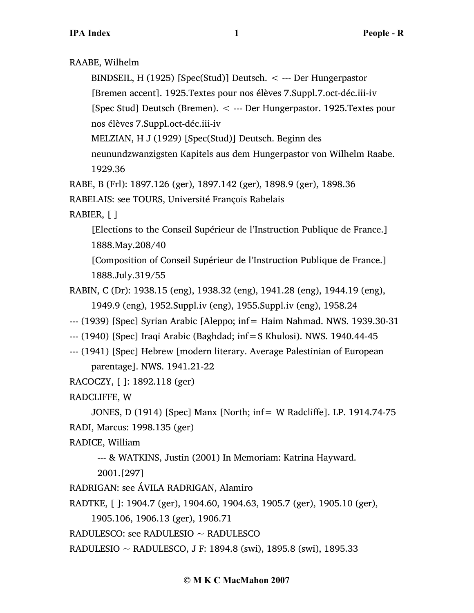RAABE, Wilhelm

BINDSEIL, H (1925) [Spec(Stud)] Deutsch. < --- Der Hungerpastor

[Bremen accent]. 1925.Textes pour nos élèves 7.Suppl.7.oct-déc.iii-iv

[Spec Stud] Deutsch (Bremen). < --- Der Hungerpastor. 1925.Textes pour

nos élèves 7.Suppl.oct-déc.iii-iv

MELZIAN, H J (1929) [Spec(Stud)] Deutsch. Beginn des

neunundzwanzigsten Kapitels aus dem Hungerpastor von Wilhelm Raabe. 1929.36

RABE, B (Frl): 1897.126 (ger), 1897.142 (ger), 1898.9 (ger), 1898.36

RABELAIS: see TOURS, Université François Rabelais

RABIER, [ ]

[Elections to the Conseil Supérieur de l'Instruction Publique de France.] 1888.May.208/40

[Composition of Conseil Supérieur de l'Instruction Publique de France.] 1888.July.319/55

- RABIN, C (Dr): 1938.15 (eng), 1938.32 (eng), 1941.28 (eng), 1944.19 (eng), 1949.9 (eng), 1952.Suppl.iv (eng), 1955.Suppl.iv (eng), 1958.24
- --- (1939) [Spec] Syrian Arabic [Aleppo; inf= Haim Nahmad. NWS. 1939.30-31
- --- (1940) [Spec] Iraqi Arabic (Baghdad; inf=S Khulosi). NWS. 1940.44-45
- --- (1941) [Spec] Hebrew [modern literary. Average Palestinian of European parentage]. NWS. 1941.21-22
- RACOCZY, [ ]: 1892.118 (ger)

RADCLIFFE, W

```
JONES, D (1914) [Spec] Manx [North; inf= W Radcliffe]. LP. 1914.74-75
RADI, Marcus: 1998.135 (ger)
```
RADICE, William

--- & WATKINS, Justin (2001) In Memoriam: Katrina Hayward.

2001.[297]

- RADRIGAN: see ÁVILA RADRIGAN, Alamiro
- RADTKE, [ ]: 1904.7 (ger), 1904.60, 1904.63, 1905.7 (ger), 1905.10 (ger),

1905.106, 1906.13 (ger), 1906.71

RADULESCO: see RADULESIO ~ RADULESCO

RADULESIO ~ RADULESCO, J F: 1894.8 (swi), 1895.8 (swi), 1895.33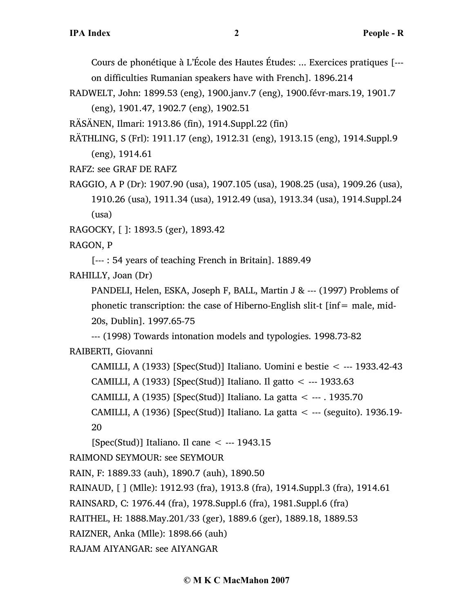Cours de phonétique à L'École des Hautes Études: ... Exercices pratiques [-- on difficulties Rumanian speakers have with French]. 1896.214

RADWELT, John: 1899.53 (eng), 1900.janv.7 (eng), 1900.févr-mars.19, 1901.7 (eng), 1901.47, 1902.7 (eng), 1902.51

RÄSÄNEN, Ilmari: 1913.86 (fin), 1914.Suppl.22 (fin)

RÄTHLING, S (Frl): 1911.17 (eng), 1912.31 (eng), 1913.15 (eng), 1914.Suppl.9 (eng), 1914.61

RAFZ: see GRAF DE RAFZ

RAGGIO, A P (Dr): 1907.90 (usa), 1907.105 (usa), 1908.25 (usa), 1909.26 (usa), 1910.26 (usa), 1911.34 (usa), 1912.49 (usa), 1913.34 (usa), 1914.Suppl.24 (usa)

RAGOCKY, [ ]: 1893.5 (ger), 1893.42

RAGON, P

[--- : 54 years of teaching French in Britain]. 1889.49

RAHILLY, Joan (Dr)

PANDELI, Helen, ESKA, Joseph F, BALL, Martin J & --- (1997) Problems of phonetic transcription: the case of Hiberno-English slit-t  $[inf = male, mid-$ 20s, Dublin]. 1997.65-75

--- (1998) Towards intonation models and typologies. 1998.73-82

RAIBERTI, Giovanni

CAMILLI, A (1933) [Spec(Stud)] Italiano. Uomini e bestie < --- 1933.42-43 CAMILLI, A (1933) [Spec(Stud)] Italiano. Il gatto < --- 1933.63

CAMILLI, A (1935) [Spec(Stud)] Italiano. La gatta < --- . 1935.70

CAMILLI, A (1936) [Spec(Stud)] Italiano. La gatta < --- (seguito). 1936.19- 20

[Spec(Stud)] Italiano. Il cane < --- 1943.15

RAIMOND SEYMOUR: see SEYMOUR

RAIN, F: 1889.33 (auh), 1890.7 (auh), 1890.50

RAINAUD, [ ] (Mlle): 1912.93 (fra), 1913.8 (fra), 1914.Suppl.3 (fra), 1914.61

RAINSARD, C: 1976.44 (fra), 1978.Suppl.6 (fra), 1981.Suppl.6 (fra)

RAITHEL, H: 1888.May.201/33 (ger), 1889.6 (ger), 1889.18, 1889.53

RAIZNER, Anka (Mlle): 1898.66 (auh)

RAJAM AIYANGAR: see AIYANGAR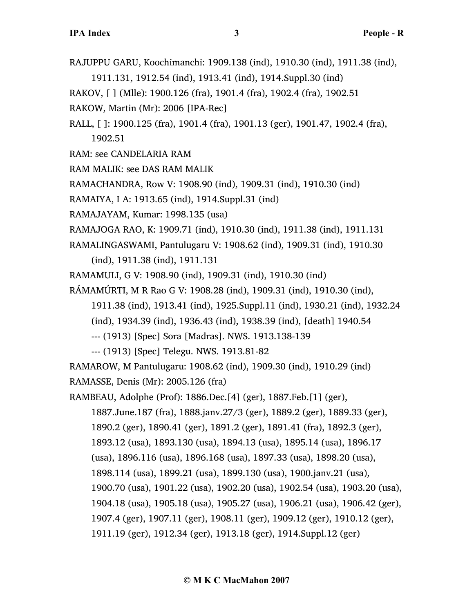RAJUPPU GARU, Koochimanchi: 1909.138 (ind), 1910.30 (ind), 1911.38 (ind),

1911.131, 1912.54 (ind), 1913.41 (ind), 1914.Suppl.30 (ind)

RAKOV, [ ] (Mlle): 1900.126 (fra), 1901.4 (fra), 1902.4 (fra), 1902.51

RAKOW, Martin (Mr): 2006 [IPA-Rec]

RALL, [ ]: 1900.125 (fra), 1901.4 (fra), 1901.13 (ger), 1901.47, 1902.4 (fra), 1902.51

RAM: see CANDELARIA RAM

RAM MALIK: see DAS RAM MALIK

RAMACHANDRA, Row V: 1908.90 (ind), 1909.31 (ind), 1910.30 (ind)

RAMAIYA, I A: 1913.65 (ind), 1914.Suppl.31 (ind)

RAMAJAYAM, Kumar: 1998.135 (usa)

RAMAJOGA RAO, K: 1909.71 (ind), 1910.30 (ind), 1911.38 (ind), 1911.131

RAMALINGASWAMI, Pantulugaru V: 1908.62 (ind), 1909.31 (ind), 1910.30 (ind), 1911.38 (ind), 1911.131

RAMAMULI, G V: 1908.90 (ind), 1909.31 (ind), 1910.30 (ind)

RÁMAMÚRTI, M R Rao G V: 1908.28 (ind), 1909.31 (ind), 1910.30 (ind),

1911.38 (ind), 1913.41 (ind), 1925.Suppl.11 (ind), 1930.21 (ind), 1932.24

(ind), 1934.39 (ind), 1936.43 (ind), 1938.39 (ind), [death] 1940.54

--- (1913) [Spec] Sora [Madras]. NWS. 1913.138-139

--- (1913) [Spec] Telegu. NWS. 1913.81-82

RAMAROW, M Pantulugaru: 1908.62 (ind), 1909.30 (ind), 1910.29 (ind)

RAMASSE, Denis (Mr): 2005.126 (fra)

RAMBEAU, Adolphe (Prof): 1886.Dec.[4] (ger), 1887.Feb.[1] (ger),

1887.June.187 (fra), 1888.janv.27/3 (ger), 1889.2 (ger), 1889.33 (ger), 1890.2 (ger), 1890.41 (ger), 1891.2 (ger), 1891.41 (fra), 1892.3 (ger), 1893.12 (usa), 1893.130 (usa), 1894.13 (usa), 1895.14 (usa), 1896.17 (usa), 1896.116 (usa), 1896.168 (usa), 1897.33 (usa), 1898.20 (usa), 1898.114 (usa), 1899.21 (usa), 1899.130 (usa), 1900.janv.21 (usa), 1900.70 (usa), 1901.22 (usa), 1902.20 (usa), 1902.54 (usa), 1903.20 (usa), 1904.18 (usa), 1905.18 (usa), 1905.27 (usa), 1906.21 (usa), 1906.42 (ger), 1907.4 (ger), 1907.11 (ger), 1908.11 (ger), 1909.12 (ger), 1910.12 (ger), 1911.19 (ger), 1912.34 (ger), 1913.18 (ger), 1914.Suppl.12 (ger)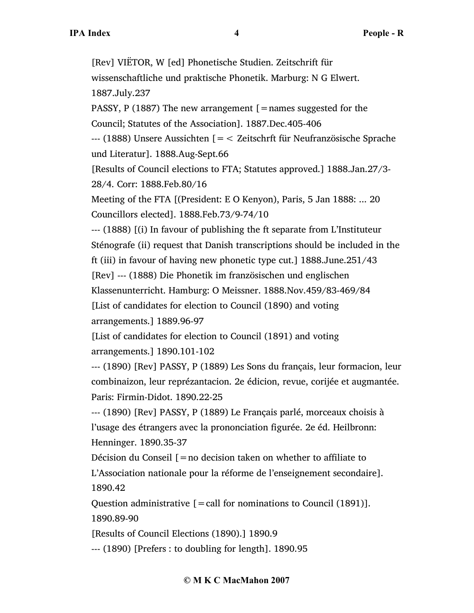[Rev] VIËTOR, W [ed] Phonetische Studien. Zeitschrift für wissenschaftliche und praktische Phonetik. Marburg: N G Elwert. 1887.July.237 PASSY, P (1887) The new arrangement  $\mathfrak{[}=$  names suggested for the Council; Statutes of the Association]. 1887.Dec.405-406 --- (1888) Unsere Aussichten [=< Zeitschrft für Neufranzösische Sprache und Literatur]. 1888.Aug-Sept.66 [Results of Council elections to FTA; Statutes approved.] 1888.Jan.27/3- 28/4. Corr: 1888.Feb.80/16 Meeting of the FTA [(President: E O Kenyon), Paris, 5 Jan 1888: ... 20 Councillors elected]. 1888.Feb.73/9-74/10 --- (1888) [(i) In favour of publishing the ft separate from L'Instituteur Sténografe (ii) request that Danish transcriptions should be included in the ft (iii) in favour of having new phonetic type cut.] 1888.June.251/43 [Rev] --- (1888) Die Phonetik im französischen und englischen Klassenunterricht. Hamburg: O Meissner. 1888.Nov.459/83-469/84 [List of candidates for election to Council (1890) and voting arrangements.] 1889.96-97 [List of candidates for election to Council (1891) and voting arrangements.] 1890.101-102 --- (1890) [Rev] PASSY, P (1889) Les Sons du français, leur formacion, leur combinaizon, leur reprézantacion. 2e édicion, revue, corijée et augmantée. Paris: Firmin-Didot. 1890.22-25 --- (1890) [Rev] PASSY, P (1889) Le Français parlé, morceaux choisis à l'usage des étrangers avec la prononciation figurée. 2e éd. Heilbronn: Henninger. 1890.35-37

Décision du Conseil  $\mathfrak{f} =$  no decision taken on whether to affiliate to L'Association nationale pour la réforme de l'enseignement secondaire]. 1890.42

Question administrative  $[=$  call for nominations to Council (1891)]. 1890.89-90

[Results of Council Elections (1890).] 1890.9

--- (1890) [Prefers : to doubling for length]. 1890.95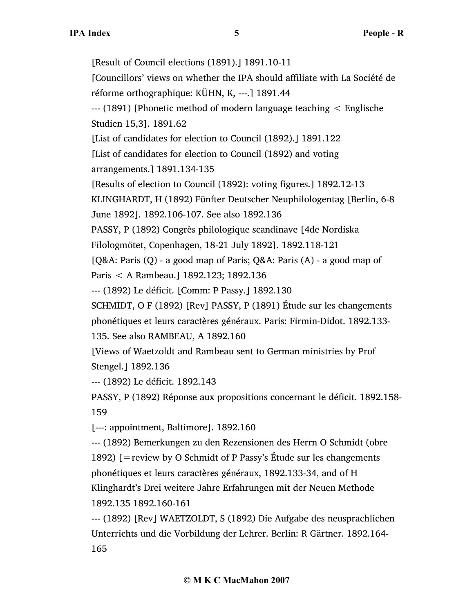[Result of Council elections (1891).] 1891.10-11 [Councillors' views on whether the IPA should affiliate with La Société de réforme orthographique: KÜHN, K, ---.] 1891.44 --- (1891) [Phonetic method of modern language teaching < Englische Studien 15,3]. 1891.62 [List of candidates for election to Council (1892).] 1891.122 [List of candidates for election to Council (1892) and voting arrangements.] 1891.134-135 [Results of election to Council (1892): voting figures.] 1892.12-13 KLINGHARDT, H (1892) Fünfter Deutscher Neuphilologentag [Berlin, 6-8 June 1892]. 1892.106-107. See also 1892.136 PASSY, P (1892) Congrès philologique scandinave [4de Nordiska Filologmötet, Copenhagen, 18-21 July 1892]. 1892.118-121 [Q&A: Paris (Q) - a good map of Paris; Q&A: Paris (A) - a good map of Paris < A Rambeau.] 1892.123; 1892.136 --- (1892) Le déficit. [Comm: P Passy.] 1892.130 SCHMIDT, O F (1892) [Rev] PASSY, P (1891) Étude sur les changements phonétiques et leurs caractères généraux. Paris: Firmin-Didot. 1892.133- 135. See also RAMBEAU, A 1892.160 [Views of Waetzoldt and Rambeau sent to German ministries by Prof Stengel.] 1892.136 --- (1892) Le déficit. 1892.143 PASSY, P (1892) Réponse aux propositions concernant le déficit. 1892.158- 159 [---: appointment, Baltimore]. 1892.160 --- (1892) Bemerkungen zu den Rezensionen des Herrn O Schmidt (obre 1892) [=review by O Schmidt of P Passy's Étude sur les changements phonétiques et leurs caractères généraux, 1892.133-34, and of H Klinghardt's Drei weitere Jahre Erfahrungen mit der Neuen Methode 1892.135 1892.160-161

--- (1892) [Rev] WAETZOLDT, S (1892) Die Aufgabe des neusprachlichen Unterrichts und die Vorbildung der Lehrer. Berlin: R Gärtner. 1892.164- 165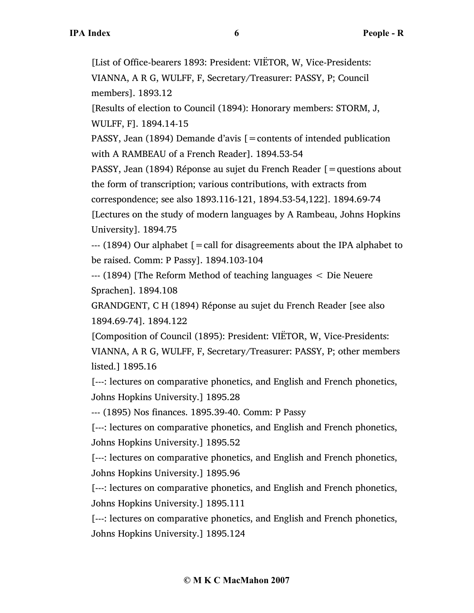[List of Office-bearers 1893: President: VIËTOR, W, Vice-Presidents: VIANNA, A R G, WULFF, F, Secretary/Treasurer: PASSY, P; Council members]. 1893.12

[Results of election to Council (1894): Honorary members: STORM, J, WULFF, F]. 1894.14-15

PASSY, Jean (1894) Demande d'avis  $\mathfrak{f}$  = contents of intended publication with A RAMBEAU of a French Reader]. 1894.53-54

PASSY, Jean (1894) Réponse au sujet du French Reader [=questions about the form of transcription; various contributions, with extracts from

correspondence; see also 1893.116-121, 1894.53-54,122]. 1894.69-74

[Lectures on the study of modern languages by A Rambeau, Johns Hopkins University]. 1894.75

--- (1894) Our alphabet [=call for disagreements about the IPA alphabet to be raised. Comm: P Passy]. 1894.103-104

--- (1894) [The Reform Method of teaching languages < Die Neuere Sprachen]. 1894.108

GRANDGENT, C H (1894) Réponse au sujet du French Reader [see also 1894.69-74]. 1894.122

[Composition of Council (1895): President: VIËTOR, W, Vice-Presidents: VIANNA, A R G, WULFF, F, Secretary/Treasurer: PASSY, P; other members listed.] 1895.16

[---: lectures on comparative phonetics, and English and French phonetics, Johns Hopkins University.] 1895.28

--- (1895) Nos finances. 1895.39-40. Comm: P Passy

[---: lectures on comparative phonetics, and English and French phonetics, Johns Hopkins University.] 1895.52

[---: lectures on comparative phonetics, and English and French phonetics, Johns Hopkins University.] 1895.96

[---: lectures on comparative phonetics, and English and French phonetics, Johns Hopkins University.] 1895.111

[---: lectures on comparative phonetics, and English and French phonetics, Johns Hopkins University.] 1895.124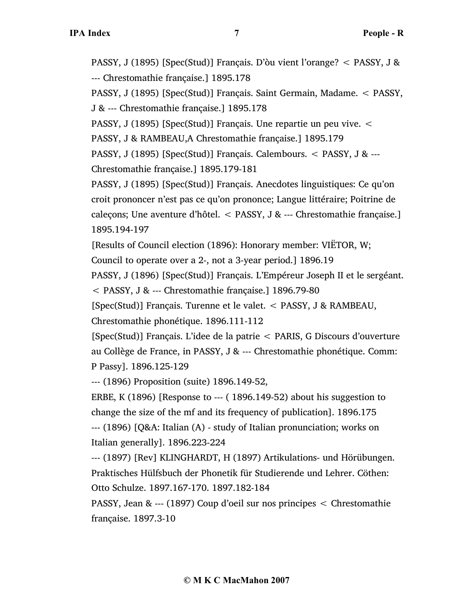PASSY, J (1895) [Spec(Stud)] Français. D'òu vient l'orange? < PASSY, J & --- Chrestomathie française.] 1895.178

PASSY, J (1895) [Spec(Stud)] Français. Saint Germain, Madame. < PASSY, J & --- Chrestomathie française.] 1895.178

PASSY, J (1895) [Spec(Stud)] Français. Une repartie un peu vive. <

PASSY, J & RAMBEAU,A Chrestomathie française.] 1895.179

PASSY, J (1895) [Spec(Stud)] Français. Calembours. < PASSY, J & --- Chrestomathie française.] 1895.179-181

PASSY, J (1895) [Spec(Stud)] Français. Anecdotes linguistiques: Ce qu'on croit prononcer n'est pas ce qu'on prononce; Langue littéraire; Poitrine de caleçons; Une aventure d'hôtel. < PASSY, J & --- Chrestomathie française.] 1895.194-197

[Results of Council election (1896): Honorary member: VIËTOR, W;

Council to operate over a 2-, not a 3-year period.] 1896.19

PASSY, J (1896) [Spec(Stud)] Français. L'Empéreur Joseph II et le sergéant.

< PASSY, J & --- Chrestomathie française.] 1896.79-80

[Spec(Stud)] Français. Turenne et le valet. < PASSY, J & RAMBEAU, Chrestomathie phonétique. 1896.111-112

[Spec(Stud)] Français. L'idee de la patrie < PARIS, G Discours d'ouverture au Collège de France, in PASSY, J & --- Chrestomathie phonétique. Comm: P Passy]. 1896.125-129

--- (1896) Proposition (suite) 1896.149-52,

ERBE, K  $(1896)$  [Response to ---  $(1896.149-52)$  about his suggestion to change the size of the mf and its frequency of publication]. 1896.175 --- (1896) [Q&A: Italian (A) - study of Italian pronunciation; works on Italian generally]. 1896.223-224

--- (1897) [Rev] KLINGHARDT, H (1897) Artikulations- und Hörübungen. Praktisches Hülfsbuch der Phonetik für Studierende und Lehrer. Cöthen: Otto Schulze. 1897.167-170. 1897.182-184

PASSY, Jean & --- (1897) Coup d'oeil sur nos principes < Chrestomathie française. 1897.3-10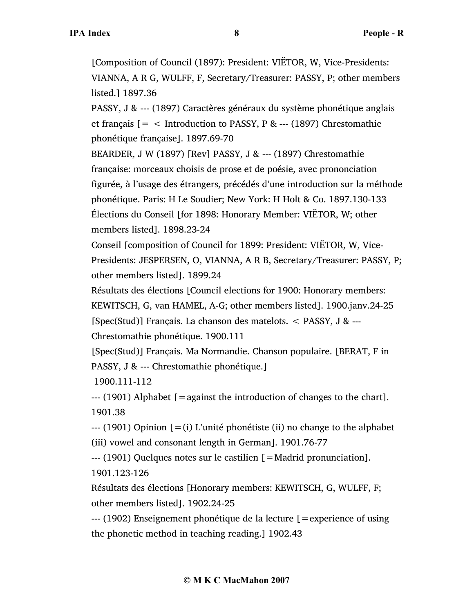[Composition of Council (1897): President: VIËTOR, W, Vice-Presidents: VIANNA, A R G, WULFF, F, Secretary/Treasurer: PASSY, P; other members listed.] 1897.36

PASSY, J & --- (1897) Caractères généraux du système phonétique anglais et français  $[=$  < Introduction to PASSY, P & --- (1897) Chrestomathie phonétique française]. 1897.69-70

BEARDER, J W (1897) [Rev] PASSY, J & --- (1897) Chrestomathie française: morceaux choisis de prose et de poésie, avec prononciation figurée, à l'usage des étrangers, précédés d'une introduction sur la méthode phonétique. Paris: H Le Soudier; New York: H Holt & Co. 1897.130-133 Élections du Conseil [for 1898: Honorary Member: VIËTOR, W; other members listed]. 1898.23-24

Conseil [composition of Council for 1899: President: VIËTOR, W, Vice-Presidents: JESPERSEN, O, VIANNA, A R B, Secretary/Treasurer: PASSY, P; other members listed]. 1899.24

Résultats des élections [Council elections for 1900: Honorary members: KEWITSCH, G, van HAMEL, A-G; other members listed]. 1900.janv.24-25 [Spec(Stud)] Français. La chanson des matelots. < PASSY, J & ---

Chrestomathie phonétique. 1900.111

[Spec(Stud)] Français. Ma Normandie. Chanson populaire. [BERAT, F in PASSY, J & --- Chrestomathie phonétique.]

1900.111-112

 $-$ -- (1901) Alphabet  $\beta$  = against the introduction of changes to the chart. 1901.38

 $-$ -- (1901) Opinion  $[=(i)$  L'unité phonétiste (ii) no change to the alphabet (iii) vowel and consonant length in German]. 1901.76-77

--- (1901) Quelques notes sur le castilien [=Madrid pronunciation]. 1901.123-126

Résultats des élections [Honorary members: KEWITSCH, G, WULFF, F; other members listed]. 1902.24-25

--- (1902) Enseignement phonétique de la lecture [=experience of using the phonetic method in teaching reading.] 1902.43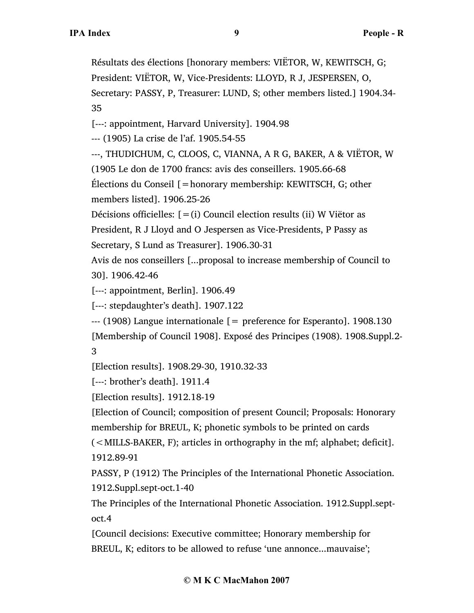Résultats des élections [honorary members: VIËTOR, W, KEWITSCH, G; President: VIËTOR, W, Vice-Presidents: LLOYD, R J, JESPERSEN, O, Secretary: PASSY, P, Treasurer: LUND, S; other members listed.] 1904.34- 35

[---: appointment, Harvard University]. 1904.98

--- (1905) La crise de l'af. 1905.54-55

---, THUDICHUM, C, CLOOS, C, VIANNA, A R G, BAKER, A & VIËTOR, W

(1905 Le don de 1700 francs: avis des conseillers. 1905.66-68

Élections du Conseil [=honorary membership: KEWITSCH, G; other members listed]. 1906.25-26

Décisions officielles:  $[=(i)$  Council election results (ii) W Viëtor as

President, R J Lloyd and O Jespersen as Vice-Presidents, P Passy as

Secretary, S Lund as Treasurer]. 1906.30-31

Avis de nos conseillers [...proposal to increase membership of Council to 30]. 1906.42-46

[---: appointment, Berlin]. 1906.49

[---: stepdaughter's death]. 1907.122

 $-$ -- (1908) Langue internationale  $[$  = preference for Esperanto]. 1908.130 [Membership of Council 1908]. Exposé des Principes (1908). 1908.Suppl.2- 3

[Election results]. 1908.29-30, 1910.32-33

[---: brother's death]. 1911.4

[Election results]. 1912.18-19

[Election of Council; composition of present Council; Proposals: Honorary membership for BREUL, K; phonetic symbols to be printed on cards

(<MILLS-BAKER, F); articles in orthography in the mf; alphabet; deficit]. 1912.89-91

PASSY, P (1912) The Principles of the International Phonetic Association. 1912.Suppl.sept-oct.1-40

The Principles of the International Phonetic Association. 1912.Suppl.septoct.4

[Council decisions: Executive committee; Honorary membership for BREUL, K; editors to be allowed to refuse 'une annonce...mauvaise';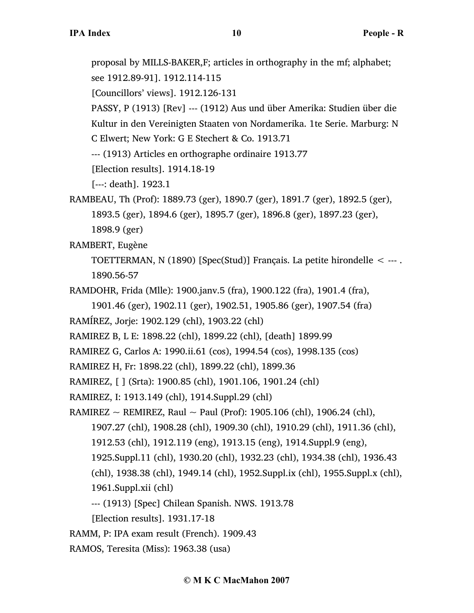proposal by MILLS-BAKER,F; articles in orthography in the mf; alphabet;

see 1912.89-91]. 1912.114-115

[Councillors' views]. 1912.126-131

PASSY, P (1913) [Rev] --- (1912) Aus und über Amerika: Studien über die Kultur in den Vereinigten Staaten von Nordamerika. 1te Serie. Marburg: N

C Elwert; New York: G E Stechert & Co. 1913.71

--- (1913) Articles en orthographe ordinaire 1913.77

[Election results]. 1914.18-19

[---: death]. 1923.1

```
RAMBEAU, Th (Prof): 1889.73 (ger), 1890.7 (ger), 1891.7 (ger), 1892.5 (ger), 
     1893.5 (ger), 1894.6 (ger), 1895.7 (ger), 1896.8 (ger), 1897.23 (ger),
```
1898.9 (ger)

RAMBERT, Eugène

TOETTERMAN, N (1890) [Spec(Stud)] Français. La petite hirondelle < --- . 1890.56-57

```
RAMDOHR, Frida (Mlle): 1900.janv.5 (fra), 1900.122 (fra), 1901.4 (fra),
```
1901.46 (ger), 1902.11 (ger), 1902.51, 1905.86 (ger), 1907.54 (fra)

```
RAMÍREZ, Jorje: 1902.129 (chl), 1903.22 (chl)
```
RAMIREZ B, L E: 1898.22 (chl), 1899.22 (chl), [death] 1899.99

RAMIREZ G, Carlos A: 1990.ii.61 (cos), 1994.54 (cos), 1998.135 (cos)

RAMIREZ H, Fr: 1898.22 (chl), 1899.22 (chl), 1899.36

RAMIREZ, [ ] (Srta): 1900.85 (chl), 1901.106, 1901.24 (chl)

RAMIREZ, I: 1913.149 (chl), 1914.Suppl.29 (chl)

RAMIREZ ~ REMIREZ, Raul ~ Paul (Prof): 1905.106 (chl), 1906.24 (chl),

1907.27 (chl), 1908.28 (chl), 1909.30 (chl), 1910.29 (chl), 1911.36 (chl),

- 1912.53 (chl), 1912.119 (eng), 1913.15 (eng), 1914.Suppl.9 (eng),
- 1925.Suppl.11 (chl), 1930.20 (chl), 1932.23 (chl), 1934.38 (chl), 1936.43

(chl), 1938.38 (chl), 1949.14 (chl), 1952.Suppl.ix (chl), 1955.Suppl.x (chl),

1961.Suppl.xii (chl)

--- (1913) [Spec] Chilean Spanish. NWS. 1913.78

[Election results]. 1931.17-18

RAMM, P: IPA exam result (French). 1909.43

RAMOS, Teresita (Miss): 1963.38 (usa)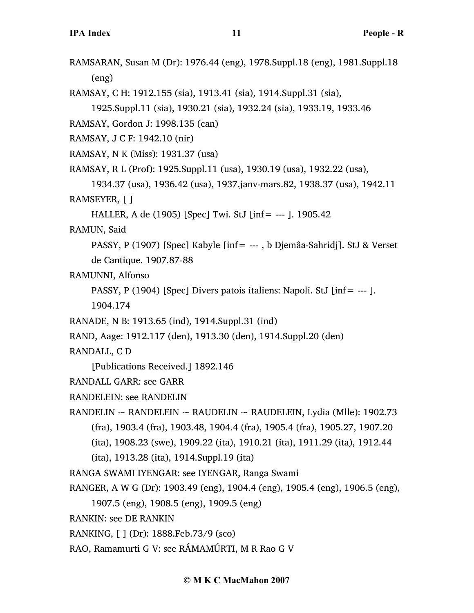RAMSARAN, Susan M (Dr): 1976.44 (eng), 1978.Suppl.18 (eng), 1981.Suppl.18 (eng)

RAMSAY, C H: 1912.155 (sia), 1913.41 (sia), 1914.Suppl.31 (sia),

```
1925.Suppl.11 (sia), 1930.21 (sia), 1932.24 (sia), 1933.19, 1933.46
```
RAMSAY, Gordon J: 1998.135 (can)

- RAMSAY, J C F: 1942.10 (nir)
- RAMSAY, N K (Miss): 1931.37 (usa)
- RAMSAY, R L (Prof): 1925.Suppl.11 (usa), 1930.19 (usa), 1932.22 (usa),
- 1934.37 (usa), 1936.42 (usa), 1937.janv-mars.82, 1938.37 (usa), 1942.11 RAMSEYER, [ ]
	- HALLER, A de (1905) [Spec] Twi. StJ [inf= --- ]. 1905.42

RAMUN, Said

PASSY, P (1907) [Spec] Kabyle [inf= --- , b Djemâa-Sahridj]. StJ & Verset de Cantique. 1907.87-88

RAMUNNI, Alfonso

PASSY, P (1904) [Spec] Divers patois italiens: Napoli. StJ [inf= --- ].

- 1904.174
- RANADE, N B: 1913.65 (ind), 1914.Suppl.31 (ind)
- RAND, Aage: 1912.117 (den), 1913.30 (den), 1914.Suppl.20 (den)

RANDALL, C D

[Publications Received.] 1892.146

- RANDALL GARR: see GARR
- RANDELEIN: see RANDELIN
- RANDELIN ~ RANDELEIN ~ RAUDELIN ~ RAUDELEIN, Lydia (Mlle): 1902.73 (fra), 1903.4 (fra), 1903.48, 1904.4 (fra), 1905.4 (fra), 1905.27, 1907.20
	- (ita), 1908.23 (swe), 1909.22 (ita), 1910.21 (ita), 1911.29 (ita), 1912.44
	- (ita), 1913.28 (ita), 1914.Suppl.19 (ita)
- RANGA SWAMI IYENGAR: see IYENGAR, Ranga Swami
- RANGER, A W G (Dr): 1903.49 (eng), 1904.4 (eng), 1905.4 (eng), 1906.5 (eng),
	- 1907.5 (eng), 1908.5 (eng), 1909.5 (eng)
- RANKIN: see DE RANKIN
- RANKING, [ ] (Dr): 1888.Feb.73/9 (sco)
- RAO, Ramamurti G V: see RÁMAMÚRTI, M R Rao G V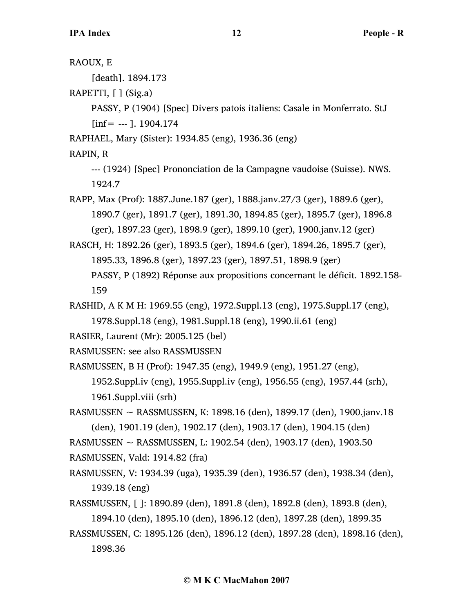| RAOUX, E                                                                        |
|---------------------------------------------------------------------------------|
| [death]. 1894.173                                                               |
| RAPETTI, [ ] (Sig.a)                                                            |
| PASSY, P (1904) [Spec] Divers patois italiens: Casale in Monferrato. StJ        |
| [inf = --- ]. 1904.174                                                          |
| RAPHAEL, Mary (Sister): 1934.85 (eng), 1936.36 (eng)                            |
| RAPIN, R                                                                        |
| --- (1924) [Spec] Prononciation de la Campagne vaudoise (Suisse). NWS.          |
| 1924.7                                                                          |
| RAPP, Max (Prof): 1887. June. 187 (ger), 1888. janv. 27/3 (ger), 1889. 6 (ger), |
| 1890.7 (ger), 1891.7 (ger), 1891.30, 1894.85 (ger), 1895.7 (ger), 1896.8        |
| (ger), 1897.23 (ger), 1898.9 (ger), 1899.10 (ger), 1900.janv.12 (ger)           |
| RASCH, H: 1892.26 (ger), 1893.5 (ger), 1894.6 (ger), 1894.26, 1895.7 (ger),     |
| 1895.33, 1896.8 (ger), 1897.23 (ger), 1897.51, 1898.9 (ger)                     |
| PASSY, P (1892) Réponse aux propositions concernant le déficit. 1892.158-       |
| 159                                                                             |
| RASHID, A K M H: 1969.55 (eng), 1972.Suppl.13 (eng), 1975.Suppl.17 (eng),       |
| 1978.Suppl.18 (eng), 1981.Suppl.18 (eng), 1990.ii.61 (eng)                      |
| RASIER, Laurent (Mr): 2005.125 (bel)                                            |
| RASMUSSEN: see also RASSMUSSEN                                                  |
| RASMUSSEN, B H (Prof): 1947.35 (eng), 1949.9 (eng), 1951.27 (eng),              |
| 1952. Suppl.iv (eng), 1955. Suppl.iv (eng), 1956. 55 (eng), 1957. 44 (srh),     |
| 1961. Suppl. viii (srh)                                                         |
| RASMUSSEN ~ RASSMUSSEN, K: 1898.16 (den), 1899.17 (den), 1900.janv.18           |
| (den), 1901.19 (den), 1902.17 (den), 1903.17 (den), 1904.15 (den)               |
| RASMUSSEN ~ RASSMUSSEN, L: 1902.54 (den), 1903.17 (den), 1903.50                |
| RASMUSSEN, Vald: 1914.82 (fra)                                                  |
| RASMUSSEN, V: 1934.39 (uga), 1935.39 (den), 1936.57 (den), 1938.34 (den),       |
| 1939.18 (eng)                                                                   |
| RASSMUSSEN, []: 1890.89 (den), 1891.8 (den), 1892.8 (den), 1893.8 (den),        |
| 1894.10 (den), 1895.10 (den), 1896.12 (den), 1897.28 (den), 1899.35             |
| RASSMUSSEN, C: 1895.126 (den), 1896.12 (den), 1897.28 (den), 1898.16 (den),     |
| 1898.36                                                                         |
|                                                                                 |
| © M K C MacMahon 2007                                                           |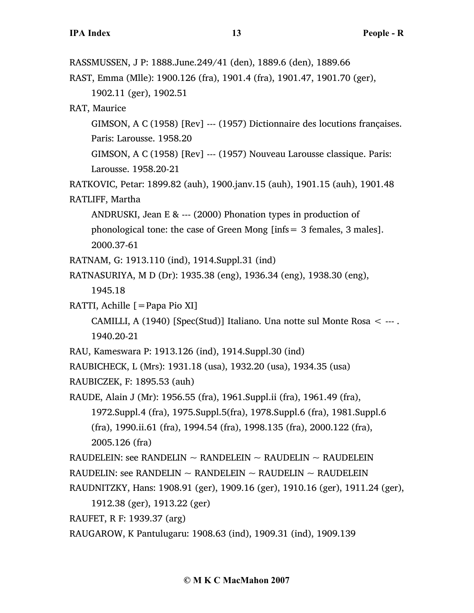RASSMUSSEN, J P: 1888.June.249/41 (den), 1889.6 (den), 1889.66 RAST, Emma (Mlle): 1900.126 (fra), 1901.4 (fra), 1901.47, 1901.70 (ger), 1902.11 (ger), 1902.51 RAT, Maurice GIMSON, A C (1958) [Rev] --- (1957) Dictionnaire des locutions françaises. Paris: Larousse. 1958.20 GIMSON, A C (1958) [Rev] --- (1957) Nouveau Larousse classique. Paris: Larousse. 1958.20-21 RATKOVIC, Petar: 1899.82 (auh), 1900.janv.15 (auh), 1901.15 (auh), 1901.48 RATLIFF, Martha ANDRUSKI, Jean E & --- (2000) Phonation types in production of phonological tone: the case of Green Mong [infs= 3 females, 3 males]. 2000.37-61 RATNAM, G: 1913.110 (ind), 1914.Suppl.31 (ind) RATNASURIYA, M D (Dr): 1935.38 (eng), 1936.34 (eng), 1938.30 (eng), 1945.18 RATTI, Achille [=Papa Pio XI] CAMILLI, A (1940) [Spec(Stud)] Italiano. Una notte sul Monte Rosa  $\leq$  ---. 1940.20-21 RAU, Kameswara P: 1913.126 (ind), 1914.Suppl.30 (ind) RAUBICHECK, L (Mrs): 1931.18 (usa), 1932.20 (usa), 1934.35 (usa) RAUBICZEK, F: 1895.53 (auh) RAUDE, Alain J (Mr): 1956.55 (fra), 1961.Suppl.ii (fra), 1961.49 (fra), 1972.Suppl.4 (fra), 1975.Suppl.5(fra), 1978.Suppl.6 (fra), 1981.Suppl.6 (fra), 1990.ii.61 (fra), 1994.54 (fra), 1998.135 (fra), 2000.122 (fra), 2005.126 (fra) RAUDELEIN: see RANDELIN  $\sim$  RANDELEIN  $\sim$  RAUDELIN  $\sim$  RAUDELEIN RAUDELIN: see RANDELIN  $\sim$  RANDELEIN  $\sim$  RAUDELIN  $\sim$  RAUDELEIN RAUDNITZKY, Hans: 1908.91 (ger), 1909.16 (ger), 1910.16 (ger), 1911.24 (ger), 1912.38 (ger), 1913.22 (ger) RAUFET, R F: 1939.37 (arg) RAUGAROW, K Pantulugaru: 1908.63 (ind), 1909.31 (ind), 1909.139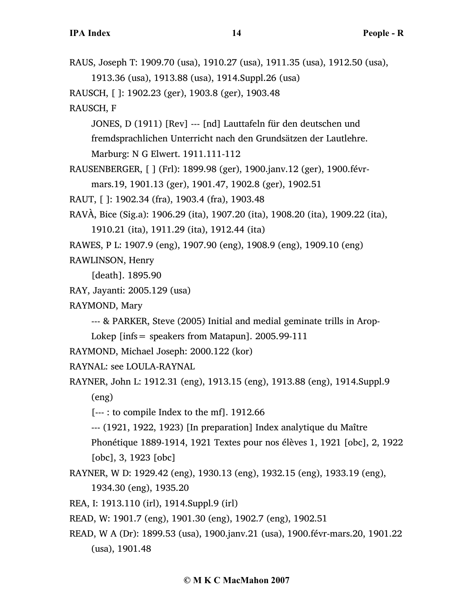RAUS, Joseph T: 1909.70 (usa), 1910.27 (usa), 1911.35 (usa), 1912.50 (usa), 1913.36 (usa), 1913.88 (usa), 1914.Suppl.26 (usa) RAUSCH, [ ]: 1902.23 (ger), 1903.8 (ger), 1903.48 RAUSCH, F JONES, D (1911) [Rev] --- [nd] Lauttafeln für den deutschen und fremdsprachlichen Unterricht nach den Grundsätzen der Lautlehre. Marburg: N G Elwert. 1911.111-112 RAUSENBERGER, [ ] (Frl): 1899.98 (ger), 1900.janv.12 (ger), 1900.févrmars.19, 1901.13 (ger), 1901.47, 1902.8 (ger), 1902.51 RAUT, [ ]: 1902.34 (fra), 1903.4 (fra), 1903.48 RAVÀ, Bice (Sig.a): 1906.29 (ita), 1907.20 (ita), 1908.20 (ita), 1909.22 (ita), 1910.21 (ita), 1911.29 (ita), 1912.44 (ita) RAWES, P L: 1907.9 (eng), 1907.90 (eng), 1908.9 (eng), 1909.10 (eng) RAWLINSON, Henry [death]. 1895.90 RAY, Jayanti: 2005.129 (usa) RAYMOND, Mary --- & PARKER, Steve (2005) Initial and medial geminate trills in Arop-Lokep [infs= speakers from Matapun]. 2005.99-111 RAYMOND, Michael Joseph: 2000.122 (kor) RAYNAL: see LOULA-RAYNAL RAYNER, John L: 1912.31 (eng), 1913.15 (eng), 1913.88 (eng), 1914.Suppl.9 (eng) [--- : to compile Index to the mf]. 1912.66 --- (1921, 1922, 1923) [In preparation] Index analytique du Maître Phonétique 1889-1914, 1921 Textes pour nos élèves 1, 1921 [obc], 2, 1922 [obc], 3, 1923 [obc] RAYNER, W D: 1929.42 (eng), 1930.13 (eng), 1932.15 (eng), 1933.19 (eng), 1934.30 (eng), 1935.20 REA, I: 1913.110 (irl), 1914.Suppl.9 (irl) READ, W: 1901.7 (eng), 1901.30 (eng), 1902.7 (eng), 1902.51 READ, W A (Dr): 1899.53 (usa), 1900.janv.21 (usa), 1900.févr-mars.20, 1901.22

(usa), 1901.48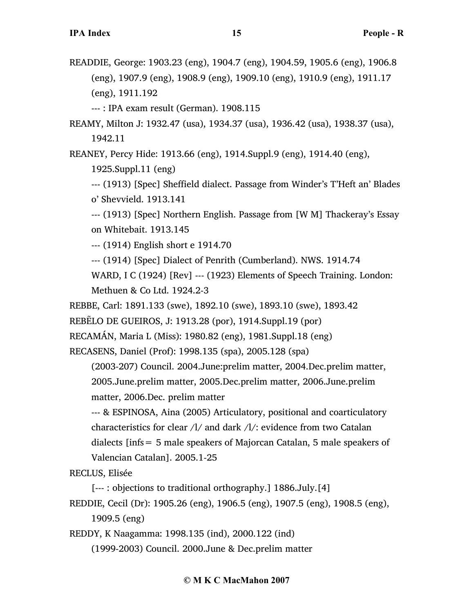READDIE, George: 1903.23 (eng), 1904.7 (eng), 1904.59, 1905.6 (eng), 1906.8 (eng), 1907.9 (eng), 1908.9 (eng), 1909.10 (eng), 1910.9 (eng), 1911.17 (eng), 1911.192

--- : IPA exam result (German). 1908.115

REAMY, Milton J: 1932.47 (usa), 1934.37 (usa), 1936.42 (usa), 1938.37 (usa), 1942.11

REANEY, Percy Hide: 1913.66 (eng), 1914.Suppl.9 (eng), 1914.40 (eng),

1925.Suppl.11 (eng)

--- (1913) [Spec] Sheffield dialect. Passage from Winder's T'Heft an' Blades o' Shevvield. 1913.141

--- (1913) [Spec] Northern English. Passage from [W M] Thackeray's Essay on Whitebait. 1913.145

--- (1914) English short e 1914.70

--- (1914) [Spec] Dialect of Penrith (Cumberland). NWS. 1914.74

WARD, I C (1924) [Rev] --- (1923) Elements of Speech Training. London: Methuen & Co Ltd. 1924.2-3

REBBE, Carl: 1891.133 (swe), 1892.10 (swe), 1893.10 (swe), 1893.42

REBẼLO DE GUEIROS, J: 1913.28 (por), 1914.Suppl.19 (por)

RECAMÁN, Maria L (Miss): 1980.82 (eng), 1981.Suppl.18 (eng)

RECASENS, Daniel (Prof): 1998.135 (spa), 2005.128 (spa)

(2003-207) Council. 2004.June:prelim matter, 2004.Dec.prelim matter, 2005.June.prelim matter, 2005.Dec.prelim matter, 2006.June.prelim matter, 2006.Dec. prelim matter

--- & ESPINOSA, Aina (2005) Articulatory, positional and coarticulatory characteristics for clear /l/ and dark /l/: evidence from two Catalan dialects [infs= 5 male speakers of Majorcan Catalan, 5 male speakers of Valencian Catalan]. 2005.1-25

RECLUS, Elisée

[--- : objections to traditional orthography.] 1886.July.[4]

REDDIE, Cecil (Dr): 1905.26 (eng), 1906.5 (eng), 1907.5 (eng), 1908.5 (eng), 1909.5 (eng)

REDDY, K Naagamma: 1998.135 (ind), 2000.122 (ind)

(1999-2003) Council. 2000.June & Dec.prelim matter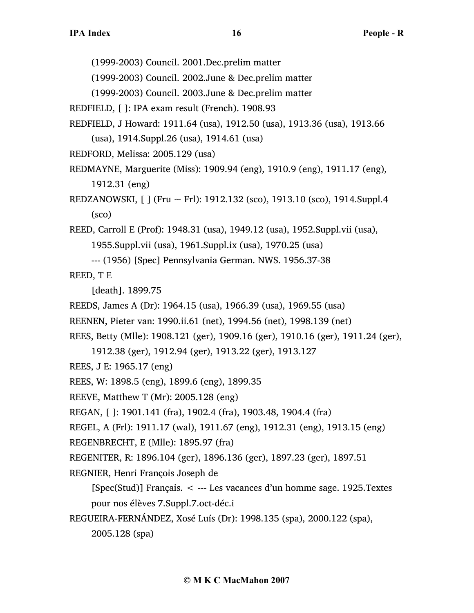(1999-2003) Council. 2001.Dec.prelim matter

(1999-2003) Council. 2002.June & Dec.prelim matter

(1999-2003) Council. 2003.June & Dec.prelim matter

REDFIELD, [ ]: IPA exam result (French). 1908.93

REDFIELD, J Howard: 1911.64 (usa), 1912.50 (usa), 1913.36 (usa), 1913.66 (usa), 1914.Suppl.26 (usa), 1914.61 (usa)

REDFORD, Melissa: 2005.129 (usa)

- REDMAYNE, Marguerite (Miss): 1909.94 (eng), 1910.9 (eng), 1911.17 (eng), 1912.31 (eng)
- REDZANOWSKI, [ ] (Fru ~ Frl): 1912.132 (sco), 1913.10 (sco), 1914.Suppl.4 (sco)

REED, Carroll E (Prof): 1948.31 (usa), 1949.12 (usa), 1952.Suppl.vii (usa), 1955.Suppl.vii (usa), 1961.Suppl.ix (usa), 1970.25 (usa)

--- (1956) [Spec] Pennsylvania German. NWS. 1956.37-38

REED, T E

[death]. 1899.75

- REEDS, James A (Dr): 1964.15 (usa), 1966.39 (usa), 1969.55 (usa)
- REENEN, Pieter van: 1990.ii.61 (net), 1994.56 (net), 1998.139 (net)
- REES, Betty (Mlle): 1908.121 (ger), 1909.16 (ger), 1910.16 (ger), 1911.24 (ger),
	- 1912.38 (ger), 1912.94 (ger), 1913.22 (ger), 1913.127

REES, J E: 1965.17 (eng)

- REES, W: 1898.5 (eng), 1899.6 (eng), 1899.35
- REEVE, Matthew T (Mr): 2005.128 (eng)
- REGAN, [ ]: 1901.141 (fra), 1902.4 (fra), 1903.48, 1904.4 (fra)

REGEL, A (Frl): 1911.17 (wal), 1911.67 (eng), 1912.31 (eng), 1913.15 (eng)

REGENBRECHT, E (Mlle): 1895.97 (fra)

REGENITER, R: 1896.104 (ger), 1896.136 (ger), 1897.23 (ger), 1897.51

REGNIER, Henri François Joseph de

[Spec(Stud)] Français. < --- Les vacances d'un homme sage. 1925.Textes pour nos élèves 7.Suppl.7.oct-déc.i

REGUEIRA-FERNÁNDEZ, Xosé Luís (Dr): 1998.135 (spa), 2000.122 (spa), 2005.128 (spa)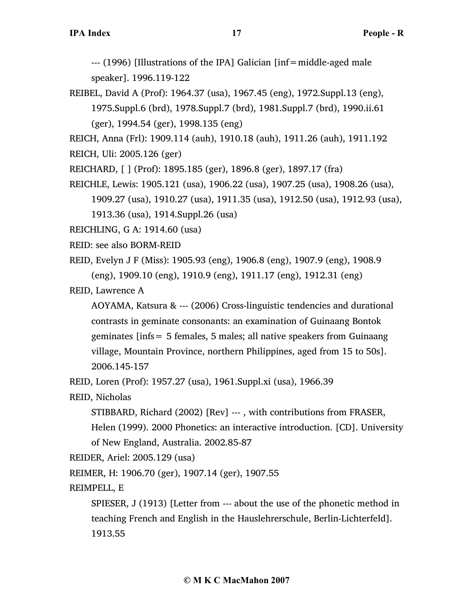--- (1996) [Illustrations of the IPA] Galician [inf=middle-aged male speaker]. 1996.119-122

REIBEL, David A (Prof): 1964.37 (usa), 1967.45 (eng), 1972.Suppl.13 (eng), 1975.Suppl.6 (brd), 1978.Suppl.7 (brd), 1981.Suppl.7 (brd), 1990.ii.61 (ger), 1994.54 (ger), 1998.135 (eng)

REICH, Anna (Frl): 1909.114 (auh), 1910.18 (auh), 1911.26 (auh), 1911.192

- REICH, Uli: 2005.126 (ger)
- REICHARD, [ ] (Prof): 1895.185 (ger), 1896.8 (ger), 1897.17 (fra)
- REICHLE, Lewis: 1905.121 (usa), 1906.22 (usa), 1907.25 (usa), 1908.26 (usa), 1909.27 (usa), 1910.27 (usa), 1911.35 (usa), 1912.50 (usa), 1912.93 (usa), 1913.36 (usa), 1914.Suppl.26 (usa)
- REICHLING, G A: 1914.60 (usa)
- REID: see also BORM-REID
- REID, Evelyn J F (Miss): 1905.93 (eng), 1906.8 (eng), 1907.9 (eng), 1908.9 (eng), 1909.10 (eng), 1910.9 (eng), 1911.17 (eng), 1912.31 (eng)
- REID, Lawrence A
	- AOYAMA, Katsura & --- (2006) Cross-linguistic tendencies and durational contrasts in geminate consonants: an examination of Guinaang Bontok geminates [infs= 5 females, 5 males; all native speakers from Guinaang village, Mountain Province, northern Philippines, aged from 15 to 50s]. 2006.145-157

REID, Loren (Prof): 1957.27 (usa), 1961.Suppl.xi (usa), 1966.39

- REID, Nicholas
	- STIBBARD, Richard (2002) [Rev] --- , with contributions from FRASER, Helen (1999). 2000 Phonetics: an interactive introduction. [CD]. University of New England, Australia. 2002.85-87

REIDER, Ariel: 2005.129 (usa)

REIMER, H: 1906.70 (ger), 1907.14 (ger), 1907.55

## REIMPELL, E

SPIESER, J (1913) [Letter from --- about the use of the phonetic method in teaching French and English in the Hauslehrerschule, Berlin-Lichterfeld]. 1913.55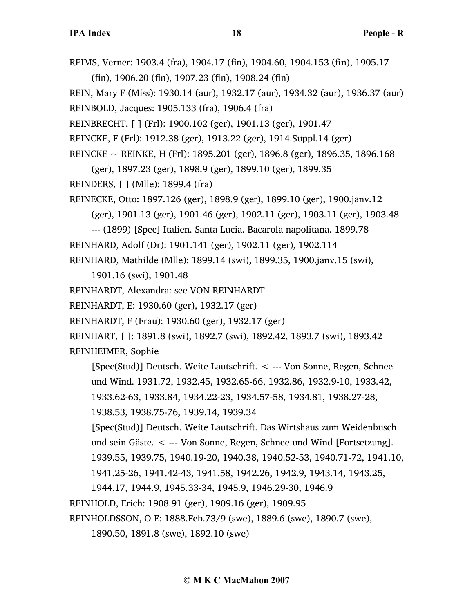REIMS, Verner: 1903.4 (fra), 1904.17 (fin), 1904.60, 1904.153 (fin), 1905.17 (fin), 1906.20 (fin), 1907.23 (fin), 1908.24 (fin) REIN, Mary F (Miss): 1930.14 (aur), 1932.17 (aur), 1934.32 (aur), 1936.37 (aur) REINBOLD, Jacques: 1905.133 (fra), 1906.4 (fra) REINBRECHT, [ ] (Frl): 1900.102 (ger), 1901.13 (ger), 1901.47 REINCKE, F (Frl): 1912.38 (ger), 1913.22 (ger), 1914.Suppl.14 (ger) REINCKE ~ REINKE, H (Frl): 1895.201 (ger), 1896.8 (ger), 1896.35, 1896.168 (ger), 1897.23 (ger), 1898.9 (ger), 1899.10 (ger), 1899.35 REINDERS, [ ] (Mlle): 1899.4 (fra) REINECKE, Otto: 1897.126 (ger), 1898.9 (ger), 1899.10 (ger), 1900.janv.12 (ger), 1901.13 (ger), 1901.46 (ger), 1902.11 (ger), 1903.11 (ger), 1903.48 --- (1899) [Spec] Italien. Santa Lucia. Bacarola napolitana. 1899.78 REINHARD, Adolf (Dr): 1901.141 (ger), 1902.11 (ger), 1902.114 REINHARD, Mathilde (Mlle): 1899.14 (swi), 1899.35, 1900.janv.15 (swi), 1901.16 (swi), 1901.48 REINHARDT, Alexandra: see VON REINHARDT REINHARDT, E: 1930.60 (ger), 1932.17 (ger) REINHARDT, F (Frau): 1930.60 (ger), 1932.17 (ger) REINHART, [ ]: 1891.8 (swi), 1892.7 (swi), 1892.42, 1893.7 (swi), 1893.42 REINHEIMER, Sophie [Spec(Stud)] Deutsch. Weite Lautschrift. < --- Von Sonne, Regen, Schnee und Wind. 1931.72, 1932.45, 1932.65-66, 1932.86, 1932.9-10, 1933.42, 1933.62-63, 1933.84, 1934.22-23, 1934.57-58, 1934.81, 1938.27-28, 1938.53, 1938.75-76, 1939.14, 1939.34 [Spec(Stud)] Deutsch. Weite Lautschrift. Das Wirtshaus zum Weidenbusch und sein Gäste. < --- Von Sonne, Regen, Schnee und Wind [Fortsetzung]. 1939.55, 1939.75, 1940.19-20, 1940.38, 1940.52-53, 1940.71-72, 1941.10, 1941.25-26, 1941.42-43, 1941.58, 1942.26, 1942.9, 1943.14, 1943.25, 1944.17, 1944.9, 1945.33-34, 1945.9, 1946.29-30, 1946.9 REINHOLD, Erich: 1908.91 (ger), 1909.16 (ger), 1909.95

REINHOLDSSON, O E: 1888.Feb.73/9 (swe), 1889.6 (swe), 1890.7 (swe),

1890.50, 1891.8 (swe), 1892.10 (swe)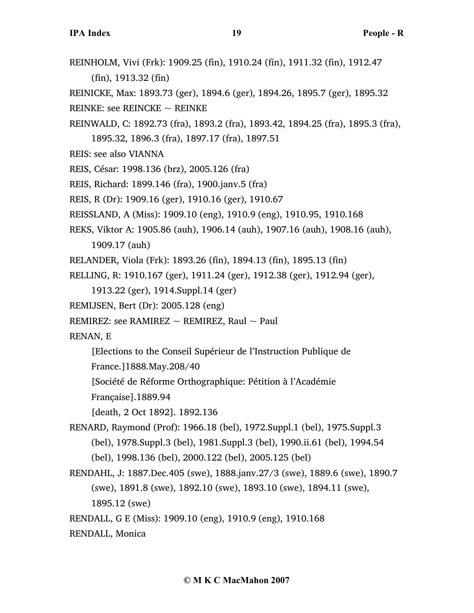REINHOLM, Vivi (Frk): 1909.25 (fin), 1910.24 (fin), 1911.32 (fin), 1912.47 (fin), 1913.32 (fin) REINICKE, Max: 1893.73 (ger), 1894.6 (ger), 1894.26, 1895.7 (ger), 1895.32 REINKE: see REINCKE  $\sim$  REINKE REINWALD, C: 1892.73 (fra), 1893.2 (fra), 1893.42, 1894.25 (fra), 1895.3 (fra), 1895.32, 1896.3 (fra), 1897.17 (fra), 1897.51 REIS: see also VIANNA REIS, César: 1998.136 (brz), 2005.126 (fra) REIS, Richard: 1899.146 (fra), 1900.janv.5 (fra) REIS, R (Dr): 1909.16 (ger), 1910.16 (ger), 1910.67 REISSLAND, A (Miss): 1909.10 (eng), 1910.9 (eng), 1910.95, 1910.168 REKS, Viktor A: 1905.86 (auh), 1906.14 (auh), 1907.16 (auh), 1908.16 (auh), 1909.17 (auh) RELANDER, Viola (Frk): 1893.26 (fin), 1894.13 (fin), 1895.13 (fin) RELLING, R: 1910.167 (ger), 1911.24 (ger), 1912.38 (ger), 1912.94 (ger), 1913.22 (ger), 1914.Suppl.14 (ger) REMIJSEN, Bert (Dr): 2005.128 (eng) REMIREZ: see RAMIREZ  $\sim$  REMIREZ, Raul  $\sim$  Paul RENAN, E [Elections to the Conseil Supérieur de l'Instruction Publique de France.]1888.May.208/40 [Société de Réforme Orthographique: Pétition à l'Académie Française].1889.94 [death, 2 Oct 1892]. 1892.136 RENARD, Raymond (Prof): 1966.18 (bel), 1972.Suppl.1 (bel), 1975.Suppl.3 (bel), 1978.Suppl.3 (bel), 1981.Suppl.3 (bel), 1990.ii.61 (bel), 1994.54 (bel), 1998.136 (bel), 2000.122 (bel), 2005.125 (bel) RENDAHL, J: 1887.Dec.405 (swe), 1888.janv.27/3 (swe), 1889.6 (swe), 1890.7 (swe), 1891.8 (swe), 1892.10 (swe), 1893.10 (swe), 1894.11 (swe), 1895.12 (swe)

RENDALL, G E (Miss): 1909.10 (eng), 1910.9 (eng), 1910.168

RENDALL, Monica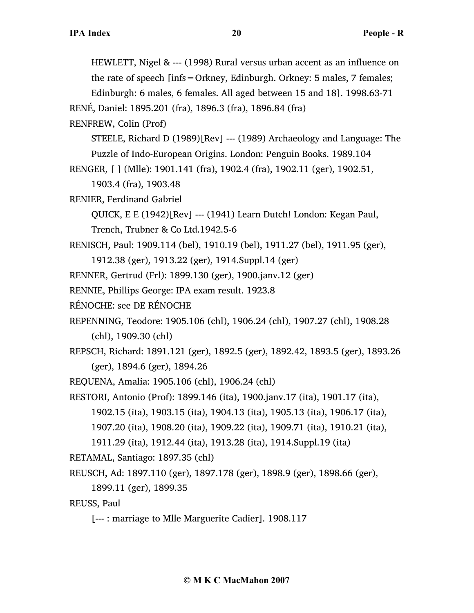HEWLETT, Nigel & --- (1998) Rural versus urban accent as an influence on the rate of speech [infs=Orkney, Edinburgh. Orkney: 5 males, 7 females; Edinburgh: 6 males, 6 females. All aged between 15 and 18]. 1998.63-71 RENÉ, Daniel: 1895.201 (fra), 1896.3 (fra), 1896.84 (fra) RENFREW, Colin (Prof) STEELE, Richard D (1989)[Rev] --- (1989) Archaeology and Language: The Puzzle of Indo-European Origins. London: Penguin Books. 1989.104 RENGER, [ ] (Mlle): 1901.141 (fra), 1902.4 (fra), 1902.11 (ger), 1902.51, 1903.4 (fra), 1903.48 RENIER, Ferdinand Gabriel QUICK, E E (1942)[Rev] --- (1941) Learn Dutch! London: Kegan Paul, Trench, Trubner & Co Ltd.1942.5-6 RENISCH, Paul: 1909.114 (bel), 1910.19 (bel), 1911.27 (bel), 1911.95 (ger), 1912.38 (ger), 1913.22 (ger), 1914.Suppl.14 (ger) RENNER, Gertrud (Frl): 1899.130 (ger), 1900.janv.12 (ger) RENNIE, Phillips George: IPA exam result. 1923.8 RÉNOCHE: see DE RÉNOCHE REPENNING, Teodore: 1905.106 (chl), 1906.24 (chl), 1907.27 (chl), 1908.28 (chl), 1909.30 (chl) REPSCH, Richard: 1891.121 (ger), 1892.5 (ger), 1892.42, 1893.5 (ger), 1893.26 (ger), 1894.6 (ger), 1894.26 REQUENA, Amalia: 1905.106 (chl), 1906.24 (chl) RESTORI, Antonio (Prof): 1899.146 (ita), 1900.janv.17 (ita), 1901.17 (ita), 1902.15 (ita), 1903.15 (ita), 1904.13 (ita), 1905.13 (ita), 1906.17 (ita), 1907.20 (ita), 1908.20 (ita), 1909.22 (ita), 1909.71 (ita), 1910.21 (ita), 1911.29 (ita), 1912.44 (ita), 1913.28 (ita), 1914.Suppl.19 (ita) RETAMAL, Santiago: 1897.35 (chl) REUSCH, Ad: 1897.110 (ger), 1897.178 (ger), 1898.9 (ger), 1898.66 (ger), 1899.11 (ger), 1899.35 REUSS, Paul

[--- : marriage to Mlle Marguerite Cadier]. 1908.117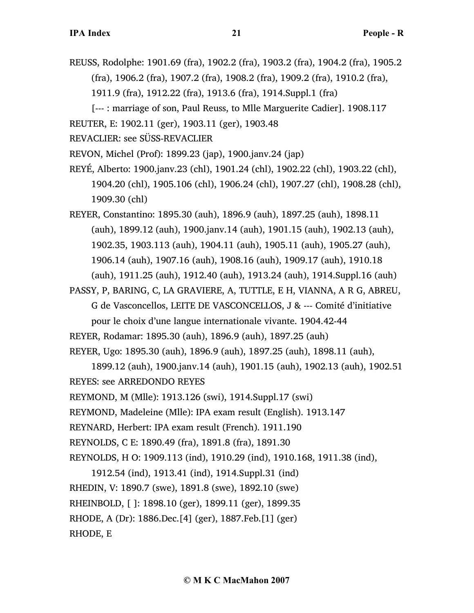- REUSS, Rodolphe: 1901.69 (fra), 1902.2 (fra), 1903.2 (fra), 1904.2 (fra), 1905.2 (fra), 1906.2 (fra), 1907.2 (fra), 1908.2 (fra), 1909.2 (fra), 1910.2 (fra), 1911.9 (fra), 1912.22 (fra), 1913.6 (fra), 1914.Suppl.1 (fra)
- [--- : marriage of son, Paul Reuss, to Mlle Marguerite Cadier]. 1908.117 REUTER, E: 1902.11 (ger), 1903.11 (ger), 1903.48
- REVACLIER: see SÜSS-REVACLIER
- REVON, Michel (Prof): 1899.23 (jap), 1900.janv.24 (jap)
- REYÉ, Alberto: 1900.janv.23 (chl), 1901.24 (chl), 1902.22 (chl), 1903.22 (chl), 1904.20 (chl), 1905.106 (chl), 1906.24 (chl), 1907.27 (chl), 1908.28 (chl), 1909.30 (chl)
- REYER, Constantino: 1895.30 (auh), 1896.9 (auh), 1897.25 (auh), 1898.11 (auh), 1899.12 (auh), 1900.janv.14 (auh), 1901.15 (auh), 1902.13 (auh), 1902.35, 1903.113 (auh), 1904.11 (auh), 1905.11 (auh), 1905.27 (auh), 1906.14 (auh), 1907.16 (auh), 1908.16 (auh), 1909.17 (auh), 1910.18 (auh), 1911.25 (auh), 1912.40 (auh), 1913.24 (auh), 1914.Suppl.16 (auh)
- PASSY, P, BARING, C, LA GRAVIERE, A, TUTTLE, E H, VIANNA, A R G, ABREU, G de Vasconcellos, LEITE DE VASCONCELLOS, J & --- Comité d'initiative
	- pour le choix d'une langue internationale vivante. 1904.42-44

REYER, Rodamar: 1895.30 (auh), 1896.9 (auh), 1897.25 (auh)

```
REYER, Ugo: 1895.30 (auh), 1896.9 (auh), 1897.25 (auh), 1898.11 (auh),
```
1899.12 (auh), 1900.janv.14 (auh), 1901.15 (auh), 1902.13 (auh), 1902.51 REYES: see ARREDONDO REYES

REYMOND, M (Mlle): 1913.126 (swi), 1914.Suppl.17 (swi)

REYMOND, Madeleine (Mlle): IPA exam result (English). 1913.147

REYNARD, Herbert: IPA exam result (French). 1911.190

REYNOLDS, C E: 1890.49 (fra), 1891.8 (fra), 1891.30

REYNOLDS, H O: 1909.113 (ind), 1910.29 (ind), 1910.168, 1911.38 (ind),

1912.54 (ind), 1913.41 (ind), 1914.Suppl.31 (ind) RHEDIN, V: 1890.7 (swe), 1891.8 (swe), 1892.10 (swe) RHEINBOLD, [ ]: 1898.10 (ger), 1899.11 (ger), 1899.35 RHODE, A (Dr): 1886.Dec.[4] (ger), 1887.Feb.[1] (ger) RHODE, E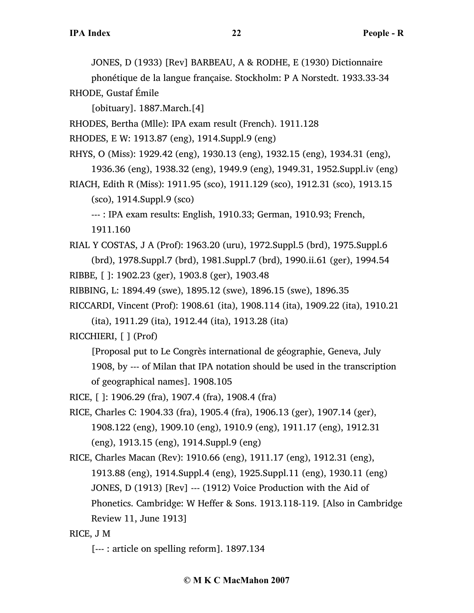JONES, D (1933) [Rev] BARBEAU, A & RODHE, E (1930) Dictionnaire

phonétique de la langue française. Stockholm: P A Norstedt. 1933.33-34 RHODE, Gustaf Émile

[obituary]. 1887.March.[4]

RHODES, Bertha (Mlle): IPA exam result (French). 1911.128

RHODES, E W: 1913.87 (eng), 1914.Suppl.9 (eng)

RHYS, O (Miss): 1929.42 (eng), 1930.13 (eng), 1932.15 (eng), 1934.31 (eng),

1936.36 (eng), 1938.32 (eng), 1949.9 (eng), 1949.31, 1952.Suppl.iv (eng)

RIACH, Edith R (Miss): 1911.95 (sco), 1911.129 (sco), 1912.31 (sco), 1913.15 (sco), 1914.Suppl.9 (sco)

--- : IPA exam results: English, 1910.33; German, 1910.93; French,

1911.160

RIAL Y COSTAS, J A (Prof): 1963.20 (uru), 1972.Suppl.5 (brd), 1975.Suppl.6 (brd), 1978.Suppl.7 (brd), 1981.Suppl.7 (brd), 1990.ii.61 (ger), 1994.54 RIBBE, [ ]: 1902.23 (ger), 1903.8 (ger), 1903.48

RIBBING, L: 1894.49 (swe), 1895.12 (swe), 1896.15 (swe), 1896.35

RICCARDI, Vincent (Prof): 1908.61 (ita), 1908.114 (ita), 1909.22 (ita), 1910.21 (ita), 1911.29 (ita), 1912.44 (ita), 1913.28 (ita)

RICCHIERI, [ ] (Prof)

[Proposal put to Le Congrès international de géographie, Geneva, July 1908, by --- of Milan that IPA notation should be used in the transcription of geographical names]. 1908.105

RICE, [ ]: 1906.29 (fra), 1907.4 (fra), 1908.4 (fra)

RICE, Charles C: 1904.33 (fra), 1905.4 (fra), 1906.13 (ger), 1907.14 (ger), 1908.122 (eng), 1909.10 (eng), 1910.9 (eng), 1911.17 (eng), 1912.31 (eng), 1913.15 (eng), 1914.Suppl.9 (eng)

RICE, Charles Macan (Rev): 1910.66 (eng), 1911.17 (eng), 1912.31 (eng), 1913.88 (eng), 1914.Suppl.4 (eng), 1925.Suppl.11 (eng), 1930.11 (eng) JONES, D (1913) [Rev] --- (1912) Voice Production with the Aid of Phonetics. Cambridge: W Heffer & Sons. 1913.118-119. [Also in Cambridge Review 11, June 1913]

## RICE, J M

[--- : article on spelling reform]. 1897.134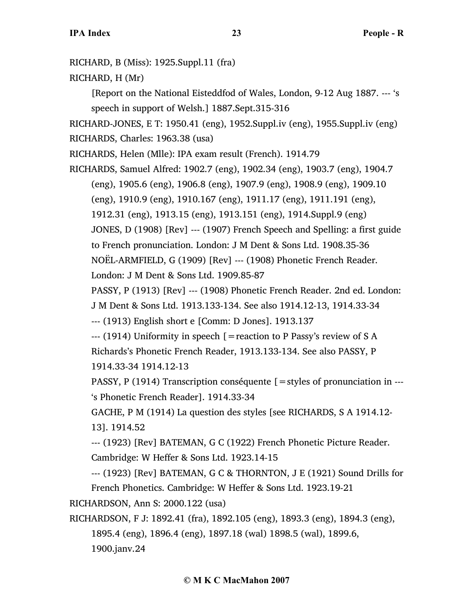RICHARD, B (Miss): 1925.Suppl.11 (fra)

RICHARD, H (Mr)

[Report on the National Eisteddfod of Wales, London, 9-12 Aug 1887. --- 's speech in support of Welsh.] 1887.Sept.315-316

RICHARD-JONES, E T: 1950.41 (eng), 1952.Suppl.iv (eng), 1955.Suppl.iv (eng) RICHARDS, Charles: 1963.38 (usa)

RICHARDS, Helen (Mlle): IPA exam result (French). 1914.79

RICHARDS, Samuel Alfred: 1902.7 (eng), 1902.34 (eng), 1903.7 (eng), 1904.7 (eng), 1905.6 (eng), 1906.8 (eng), 1907.9 (eng), 1908.9 (eng), 1909.10 (eng), 1910.9 (eng), 1910.167 (eng), 1911.17 (eng), 1911.191 (eng), 1912.31 (eng), 1913.15 (eng), 1913.151 (eng), 1914.Suppl.9 (eng) JONES, D (1908) [Rev] --- (1907) French Speech and Spelling: a first guide to French pronunciation. London: J M Dent & Sons Ltd. 1908.35-36 NOËL-ARMFIELD, G (1909) [Rev] --- (1908) Phonetic French Reader. London: J M Dent & Sons Ltd. 1909.85-87

PASSY, P (1913) [Rev] --- (1908) Phonetic French Reader. 2nd ed. London:

J M Dent & Sons Ltd. 1913.133-134. See also 1914.12-13, 1914.33-34

--- (1913) English short e [Comm: D Jones]. 1913.137

 $-$ -- (1914) Uniformity in speech [=reaction to P Passy's review of S A Richards's Phonetic French Reader, 1913.133-134. See also PASSY, P 1914.33-34 1914.12-13

PASSY, P (1914) Transcription conséquente  $\mathcal{F}$  = styles of pronunciation in ---'s Phonetic French Reader]. 1914.33-34

GACHE, P M (1914) La question des styles [see RICHARDS, S A 1914.12- 13]. 1914.52

--- (1923) [Rev] BATEMAN, G C (1922) French Phonetic Picture Reader. Cambridge: W Heffer & Sons Ltd. 1923.14-15

--- (1923) [Rev] BATEMAN, G C & THORNTON, J E (1921) Sound Drills for French Phonetics. Cambridge: W Heffer & Sons Ltd. 1923.19-21

RICHARDSON, Ann S: 2000.122 (usa)

RICHARDSON, F J: 1892.41 (fra), 1892.105 (eng), 1893.3 (eng), 1894.3 (eng), 1895.4 (eng), 1896.4 (eng), 1897.18 (wal) 1898.5 (wal), 1899.6, 1900.janv.24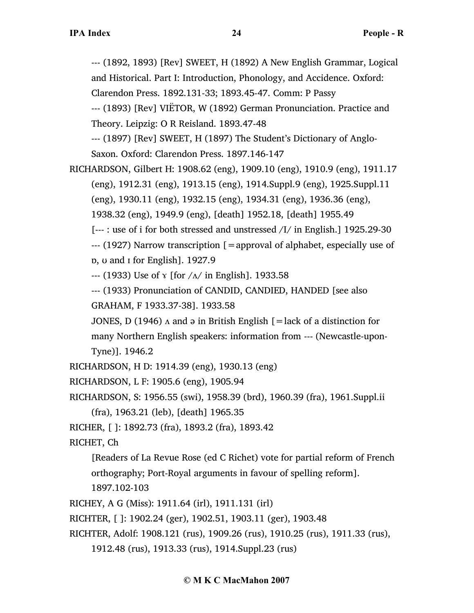--- (1892, 1893) [Rev] SWEET, H (1892) A New English Grammar, Logical and Historical. Part I: Introduction, Phonology, and Accidence. Oxford: Clarendon Press. 1892.131-33; 1893.45-47. Comm: P Passy

--- (1893) [Rev] VIËTOR, W (1892) German Pronunciation. Practice and Theory. Leipzig: O R Reisland. 1893.47-48

--- (1897) [Rev] SWEET, H (1897) The Student's Dictionary of Anglo-Saxon. Oxford: Clarendon Press. 1897.146-147

RICHARDSON, Gilbert H: 1908.62 (eng), 1909.10 (eng), 1910.9 (eng), 1911.17 (eng), 1912.31 (eng), 1913.15 (eng), 1914.Suppl.9 (eng), 1925.Suppl.11 (eng), 1930.11 (eng), 1932.15 (eng), 1934.31 (eng), 1936.36 (eng), 1938.32 (eng), 1949.9 (eng), [death] 1952.18, [death] 1955.49 [--- : use of i for both stressed and unstressed /I/ in English.] 1925.29-30 --- (1927) Narrow transcription [=approval of alphabet, especially use of ɒ, ʊ and ɪ for English]. 1927.9  $-$ -- (1933) Use of  $\gamma$  [for  $/\Lambda$  in English]. 1933.58

--- (1933) Pronunciation of CANDID, CANDIED, HANDED [see also GRAHAM, F 1933.37-38]. 1933.58

JONES, D (1946)  $\Lambda$  and  $\Theta$  in British English [=lack of a distinction for many Northern English speakers: information from --- (Newcastle-upon-Tyne)]. 1946.2

RICHARDSON, H D: 1914.39 (eng), 1930.13 (eng)

RICHARDSON, L F: 1905.6 (eng), 1905.94

RICHARDSON, S: 1956.55 (swi), 1958.39 (brd), 1960.39 (fra), 1961.Suppl.ii

(fra), 1963.21 (leb), [death] 1965.35

RICHER, [ ]: 1892.73 (fra), 1893.2 (fra), 1893.42

RICHET, Ch

[Readers of La Revue Rose (ed C Richet) vote for partial reform of French orthography; Port-Royal arguments in favour of spelling reform].

1897.102-103

RICHEY, A G (Miss): 1911.64 (irl), 1911.131 (irl)

RICHTER, [ ]: 1902.24 (ger), 1902.51, 1903.11 (ger), 1903.48

RICHTER, Adolf: 1908.121 (rus), 1909.26 (rus), 1910.25 (rus), 1911.33 (rus),

1912.48 (rus), 1913.33 (rus), 1914.Suppl.23 (rus)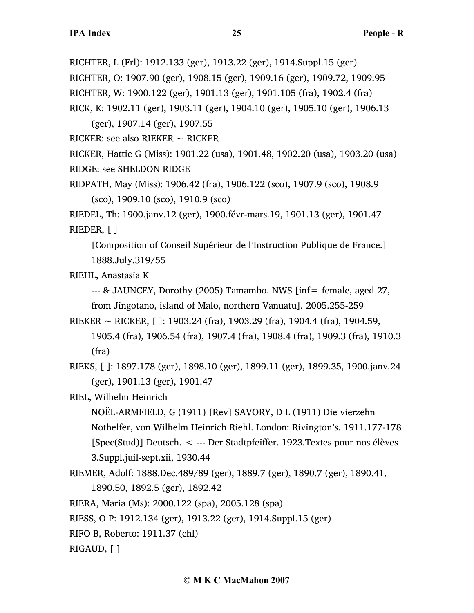RICHTER, L (Frl): 1912.133 (ger), 1913.22 (ger), 1914.Suppl.15 (ger) RICHTER, O: 1907.90 (ger), 1908.15 (ger), 1909.16 (ger), 1909.72, 1909.95 RICHTER, W: 1900.122 (ger), 1901.13 (ger), 1901.105 (fra), 1902.4 (fra) RICK, K: 1902.11 (ger), 1903.11 (ger), 1904.10 (ger), 1905.10 (ger), 1906.13

(ger), 1907.14 (ger), 1907.55

RICKER: see also RIEKER  $\sim$  RICKER

RICKER, Hattie G (Miss): 1901.22 (usa), 1901.48, 1902.20 (usa), 1903.20 (usa) RIDGE: see SHELDON RIDGE

RIDPATH, May (Miss): 1906.42 (fra), 1906.122 (sco), 1907.9 (sco), 1908.9 (sco), 1909.10 (sco), 1910.9 (sco)

RIEDEL, Th: 1900.janv.12 (ger), 1900.févr-mars.19, 1901.13 (ger), 1901.47 RIEDER, [ ]

[Composition of Conseil Supérieur de l'Instruction Publique de France.] 1888.July.319/55

RIEHL, Anastasia K

--- & JAUNCEY, Dorothy (2005) Tamambo. NWS [inf= female, aged 27, from Jingotano, island of Malo, northern Vanuatu]. 2005.255-259

RIEKER  $\sim$  RICKER, [ ]: 1903.24 (fra), 1903.29 (fra), 1904.4 (fra), 1904.59, 1905.4 (fra), 1906.54 (fra), 1907.4 (fra), 1908.4 (fra), 1909.3 (fra), 1910.3 (fra)

RIEKS, [ ]: 1897.178 (ger), 1898.10 (ger), 1899.11 (ger), 1899.35, 1900.janv.24 (ger), 1901.13 (ger), 1901.47

## RIEL, Wilhelm Heinrich

NOËL-ARMFIELD, G (1911) [Rev] SAVORY, D L (1911) Die vierzehn Nothelfer, von Wilhelm Heinrich Riehl. London: Rivington's. 1911.177-178 [Spec(Stud)] Deutsch. < --- Der Stadtpfeiffer. 1923.Textes pour nos élèves 3.Suppl.juil-sept.xii, 1930.44

RIEMER, Adolf: 1888.Dec.489/89 (ger), 1889.7 (ger), 1890.7 (ger), 1890.41,

1890.50, 1892.5 (ger), 1892.42

RIERA, Maria (Ms): 2000.122 (spa), 2005.128 (spa)

RIESS, O P: 1912.134 (ger), 1913.22 (ger), 1914.Suppl.15 (ger)

RIFO B, Roberto: 1911.37 (chl)

RIGAUD, [ ]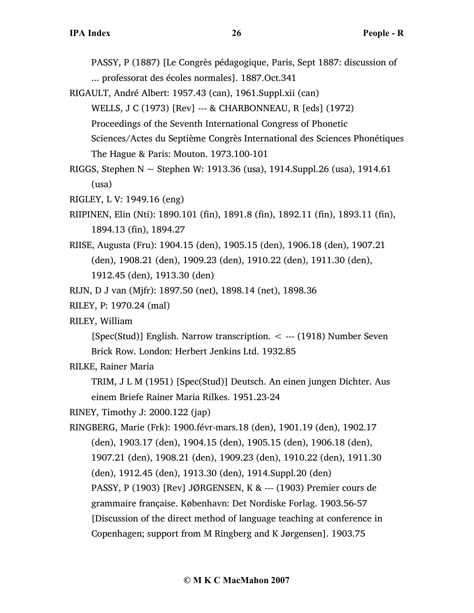PASSY, P (1887) [Le Congrès pédagogique, Paris, Sept 1887: discussion of ... professorat des écoles normales]. 1887.Oct.341

RIGAULT, André Albert: 1957.43 (can), 1961.Suppl.xii (can) WELLS, J C (1973) [Rev] --- & CHARBONNEAU, R [eds] (1972) Proceedings of the Seventh International Congress of Phonetic Sciences/Actes du Septième Congrès International des Sciences Phonétiques The Hague & Paris: Mouton. 1973.100-101

RIGGS, Stephen N  $\sim$  Stephen W: 1913.36 (usa), 1914.Suppl.26 (usa), 1914.61 (usa)

RIGLEY, L V: 1949.16 (eng)

- RIIPINEN, Elin (Nti): 1890.101 (fin), 1891.8 (fin), 1892.11 (fin), 1893.11 (fin), 1894.13 (fin), 1894.27
- RIISE, Augusta (Fru): 1904.15 (den), 1905.15 (den), 1906.18 (den), 1907.21 (den), 1908.21 (den), 1909.23 (den), 1910.22 (den), 1911.30 (den), 1912.45 (den), 1913.30 (den)
- RIJN, D J van (Mjfr): 1897.50 (net), 1898.14 (net), 1898.36
- RILEY, P: 1970.24 (mal)
- RILEY, William

[Spec(Stud)] English. Narrow transcription. < --- (1918) Number Seven Brick Row. London: Herbert Jenkins Ltd. 1932.85

RILKE, Rainer Maria

TRIM, J L M (1951) [Spec(Stud)] Deutsch. An einen jungen Dichter. Aus einem Briefe Rainer Maria Rilkes. 1951.23-24

RINEY, Timothy J: 2000.122 (jap)

RINGBERG, Marie (Frk): 1900.févr-mars.18 (den), 1901.19 (den), 1902.17 (den), 1903.17 (den), 1904.15 (den), 1905.15 (den), 1906.18 (den), 1907.21 (den), 1908.21 (den), 1909.23 (den), 1910.22 (den), 1911.30 (den), 1912.45 (den), 1913.30 (den), 1914.Suppl.20 (den) PASSY, P (1903) [Rev] JØRGENSEN, K & --- (1903) Premier cours de grammaire française. København: Det Nordiske Forlag. 1903.56-57 [Discussion of the direct method of language teaching at conference in Copenhagen; support from M Ringberg and K Jørgensen]. 1903.75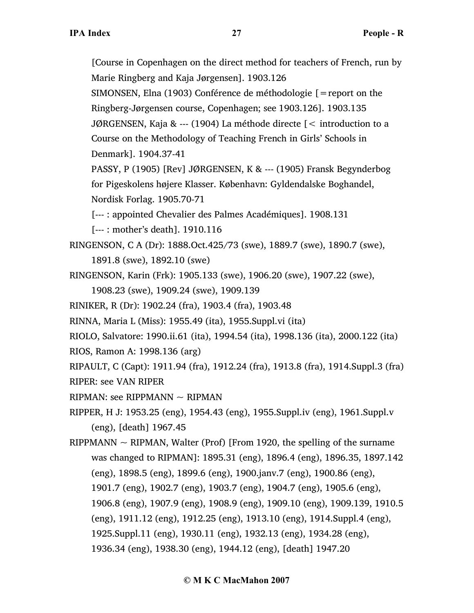[Course in Copenhagen on the direct method for teachers of French, run by Marie Ringberg and Kaja Jørgensen]. 1903.126 SIMONSEN, Elna (1903) Conférence de méthodologie [=report on the Ringberg-Jørgensen course, Copenhagen; see 1903.126]. 1903.135 JØRGENSEN, Kaja & --- (1904) La méthode directe [< introduction to a Course on the Methodology of Teaching French in Girls' Schools in Denmark]. 1904.37-41

PASSY, P (1905) [Rev] JØRGENSEN, K & --- (1905) Fransk Begynderbog for Pigeskolens højere Klasser. København: Gyldendalske Boghandel, Nordisk Forlag. 1905.70-71

[--- : appointed Chevalier des Palmes Académiques]. 1908.131

[--- : mother's death]. 1910.116

RINGENSON, C A (Dr): 1888.Oct.425/73 (swe), 1889.7 (swe), 1890.7 (swe),

1891.8 (swe), 1892.10 (swe)

- RINGENSON, Karin (Frk): 1905.133 (swe), 1906.20 (swe), 1907.22 (swe),
	- 1908.23 (swe), 1909.24 (swe), 1909.139
- RINIKER, R (Dr): 1902.24 (fra), 1903.4 (fra), 1903.48

RINNA, Maria L (Miss): 1955.49 (ita), 1955.Suppl.vi (ita)

RIOLO, Salvatore: 1990.ii.61 (ita), 1994.54 (ita), 1998.136 (ita), 2000.122 (ita)

RIOS, Ramon A: 1998.136 (arg)

RIPAULT, C (Capt): 1911.94 (fra), 1912.24 (fra), 1913.8 (fra), 1914.Suppl.3 (fra) RIPER: see VAN RIPER

RIPMAN: see RIPPMANN  $\sim$  RIPMAN

RIPPER, H J: 1953.25 (eng), 1954.43 (eng), 1955.Suppl.iv (eng), 1961.Suppl.v (eng), [death] 1967.45

RIPPMANN  $\sim$  RIPMAN, Walter (Prof) [From 1920, the spelling of the surname was changed to RIPMAN]: 1895.31 (eng), 1896.4 (eng), 1896.35, 1897.142 (eng), 1898.5 (eng), 1899.6 (eng), 1900.janv.7 (eng), 1900.86 (eng), 1901.7 (eng), 1902.7 (eng), 1903.7 (eng), 1904.7 (eng), 1905.6 (eng), 1906.8 (eng), 1907.9 (eng), 1908.9 (eng), 1909.10 (eng), 1909.139, 1910.5 (eng), 1911.12 (eng), 1912.25 (eng), 1913.10 (eng), 1914.Suppl.4 (eng), 1925.Suppl.11 (eng), 1930.11 (eng), 1932.13 (eng), 1934.28 (eng), 1936.34 (eng), 1938.30 (eng), 1944.12 (eng), [death] 1947.20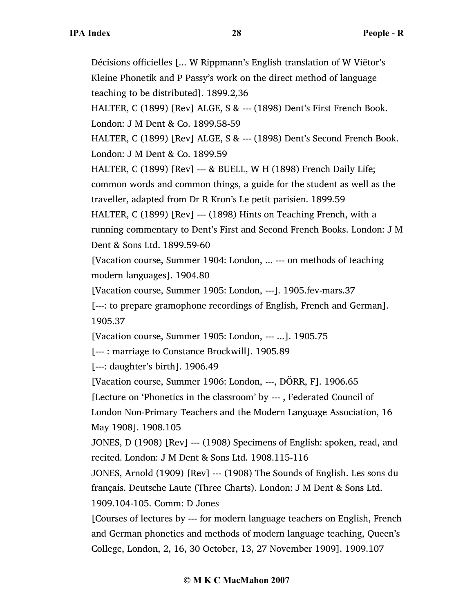Décisions officielles [... W Rippmann's English translation of W Viëtor's Kleine Phonetik and P Passy's work on the direct method of language teaching to be distributed]. 1899.2,36 HALTER, C (1899) [Rev] ALGE, S & --- (1898) Dent's First French Book. London: J M Dent & Co. 1899.58-59 HALTER, C (1899) [Rev] ALGE, S & --- (1898) Dent's Second French Book. London: J M Dent & Co. 1899.59 HALTER, C (1899) [Rev] --- & BUELL, W H (1898) French Daily Life; common words and common things, a guide for the student as well as the traveller, adapted from Dr R Kron's Le petit parisien. 1899.59 HALTER, C (1899) [Rev] --- (1898) Hints on Teaching French, with a running commentary to Dent's First and Second French Books. London: J M Dent & Sons Ltd. 1899.59-60 [Vacation course, Summer 1904: London, ... --- on methods of teaching modern languages]. 1904.80 [Vacation course, Summer 1905: London, ---]. 1905.fev-mars.37 [---: to prepare gramophone recordings of English, French and German]. 1905.37 [Vacation course, Summer 1905: London, --- ...]. 1905.75 [--- : marriage to Constance Brockwill]. 1905.89 [---: daughter's birth]. 1906.49 [Vacation course, Summer 1906: London, ---, DÖRR, F]. 1906.65 [Lecture on 'Phonetics in the classroom' by --- , Federated Council of London Non-Primary Teachers and the Modern Language Association, 16 May 1908]. 1908.105 JONES, D (1908) [Rev] --- (1908) Specimens of English: spoken, read, and recited. London: J M Dent & Sons Ltd. 1908.115-116 JONES, Arnold (1909) [Rev] --- (1908) The Sounds of English. Les sons du français. Deutsche Laute (Three Charts). London: J M Dent & Sons Ltd. 1909.104-105. Comm: D Jones

[Courses of lectures by --- for modern language teachers on English, French and German phonetics and methods of modern language teaching, Queen's College, London, 2, 16, 30 October, 13, 27 November 1909]. 1909.107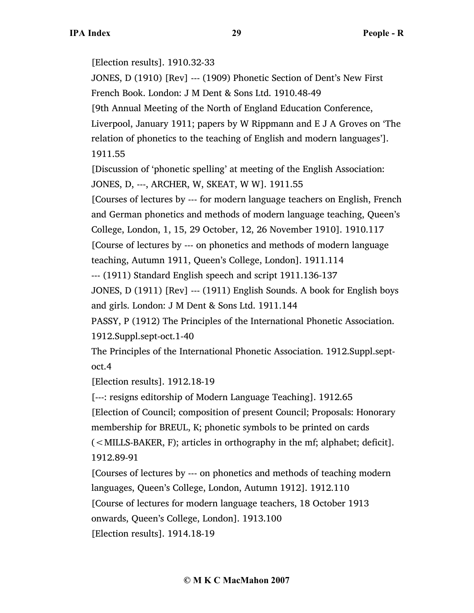[Election results]. 1910.32-33

JONES, D (1910) [Rev] --- (1909) Phonetic Section of Dent's New First French Book. London: J M Dent & Sons Ltd. 1910.48-49

[9th Annual Meeting of the North of England Education Conference,

Liverpool, January 1911; papers by W Rippmann and E J A Groves on 'The relation of phonetics to the teaching of English and modern languages']. 1911.55

[Discussion of 'phonetic spelling' at meeting of the English Association: JONES, D, ---, ARCHER, W, SKEAT, W W]. 1911.55

[Courses of lectures by --- for modern language teachers on English, French and German phonetics and methods of modern language teaching, Queen's College, London, 1, 15, 29 October, 12, 26 November 1910]. 1910.117

[Course of lectures by --- on phonetics and methods of modern language

teaching, Autumn 1911, Queen's College, London]. 1911.114

--- (1911) Standard English speech and script 1911.136-137

JONES, D (1911) [Rev] --- (1911) English Sounds. A book for English boys and girls. London: J M Dent & Sons Ltd. 1911.144

PASSY, P (1912) The Principles of the International Phonetic Association. 1912.Suppl.sept-oct.1-40

The Principles of the International Phonetic Association. 1912.Suppl.septoct.4

[Election results]. 1912.18-19

[---: resigns editorship of Modern Language Teaching]. 1912.65

[Election of Council; composition of present Council; Proposals: Honorary membership for BREUL, K; phonetic symbols to be printed on cards

(<MILLS-BAKER, F); articles in orthography in the mf; alphabet; deficit]. 1912.89-91

[Courses of lectures by --- on phonetics and methods of teaching modern languages, Queen's College, London, Autumn 1912]. 1912.110

[Course of lectures for modern language teachers, 18 October 1913

onwards, Queen's College, London]. 1913.100

[Election results]. 1914.18-19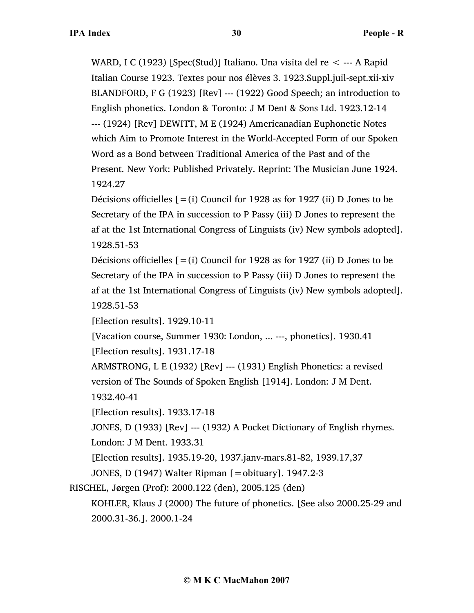WARD, I C (1923) [Spec(Stud)] Italiano. Una visita del re  $\leq$  --- A Rapid Italian Course 1923. Textes pour nos élèves 3. 1923.Suppl.juil-sept.xii-xiv BLANDFORD, F G (1923) [Rev] --- (1922) Good Speech; an introduction to English phonetics. London & Toronto: J M Dent & Sons Ltd. 1923.12-14 --- (1924) [Rev] DEWITT, M E (1924) Americanadian Euphonetic Notes which Aim to Promote Interest in the World-Accepted Form of our Spoken Word as a Bond between Traditional America of the Past and of the Present. New York: Published Privately. Reprint: The Musician June 1924. 1924.27

Décisions officielles  $[=(i)$  Council for 1928 as for 1927 (ii) D Jones to be Secretary of the IPA in succession to P Passy (iii) D Jones to represent the af at the 1st International Congress of Linguists (iv) New symbols adopted]. 1928.51-53

Décisions officielles  $[=(i)$  Council for 1928 as for 1927 (ii) D Jones to be Secretary of the IPA in succession to P Passy (iii) D Jones to represent the af at the 1st International Congress of Linguists (iv) New symbols adopted]. 1928.51-53

[Election results]. 1929.10-11

[Vacation course, Summer 1930: London, ... ---, phonetics]. 1930.41 [Election results]. 1931.17-18

ARMSTRONG, L E (1932) [Rev] --- (1931) English Phonetics: a revised version of The Sounds of Spoken English [1914]. London: J M Dent.

1932.40-41

[Election results]. 1933.17-18

JONES, D (1933) [Rev] --- (1932) A Pocket Dictionary of English rhymes.

London: J M Dent. 1933.31

[Election results]. 1935.19-20, 1937.janv-mars.81-82, 1939.17,37

JONES, D (1947) Walter Ripman [=obituary]. 1947.2-3

RISCHEL, Jørgen (Prof): 2000.122 (den), 2005.125 (den)

KOHLER, Klaus J (2000) The future of phonetics. [See also 2000.25-29 and 2000.31-36.]. 2000.1-24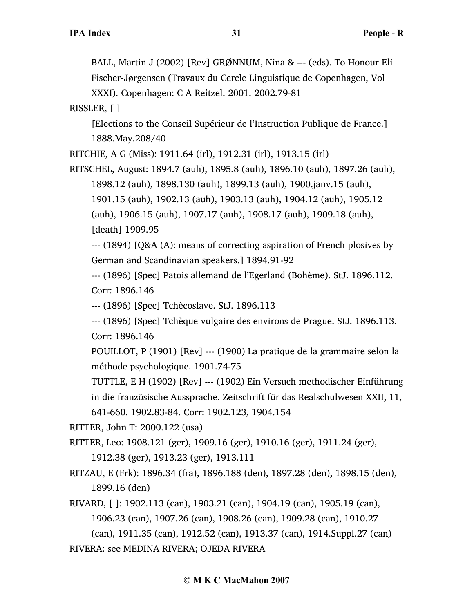BALL, Martin J (2002) [Rev] GRØNNUM, Nina & --- (eds). To Honour Eli Fischer-Jørgensen (Travaux du Cercle Linguistique de Copenhagen, Vol XXXI). Copenhagen: C A Reitzel. 2001. 2002.79-81

RISSLER, [ ]

[Elections to the Conseil Supérieur de l'Instruction Publique de France.] 1888.May.208/40

RITCHIE, A G (Miss): 1911.64 (irl), 1912.31 (irl), 1913.15 (irl)

RITSCHEL, August: 1894.7 (auh), 1895.8 (auh), 1896.10 (auh), 1897.26 (auh), 1898.12 (auh), 1898.130 (auh), 1899.13 (auh), 1900.janv.15 (auh), 1901.15 (auh), 1902.13 (auh), 1903.13 (auh), 1904.12 (auh), 1905.12 (auh), 1906.15 (auh), 1907.17 (auh), 1908.17 (auh), 1909.18 (auh), [death] 1909.95

--- (1894) [Q&A (A): means of correcting aspiration of French plosives by German and Scandinavian speakers.] 1894.91-92

--- (1896) [Spec] Patois allemand de l'Egerland (Bohème). StJ. 1896.112. Corr: 1896.146

--- (1896) [Spec] Tchècoslave. StJ. 1896.113

--- (1896) [Spec] Tchèque vulgaire des environs de Prague. StJ. 1896.113. Corr: 1896.146

POUILLOT, P (1901) [Rev] --- (1900) La pratique de la grammaire selon la méthode psychologique. 1901.74-75

TUTTLE, E H (1902) [Rev] --- (1902) Ein Versuch methodischer Einführung in die französische Aussprache. Zeitschrift für das Realschulwesen XXII, 11, 641-660. 1902.83-84. Corr: 1902.123, 1904.154

RITTER, John T: 2000.122 (usa)

- RITTER, Leo: 1908.121 (ger), 1909.16 (ger), 1910.16 (ger), 1911.24 (ger), 1912.38 (ger), 1913.23 (ger), 1913.111
- RITZAU, E (Frk): 1896.34 (fra), 1896.188 (den), 1897.28 (den), 1898.15 (den), 1899.16 (den)

RIVARD, [ ]: 1902.113 (can), 1903.21 (can), 1904.19 (can), 1905.19 (can), 1906.23 (can), 1907.26 (can), 1908.26 (can), 1909.28 (can), 1910.27 (can), 1911.35 (can), 1912.52 (can), 1913.37 (can), 1914.Suppl.27 (can)

RIVERA: see MEDINA RIVERA; OJEDA RIVERA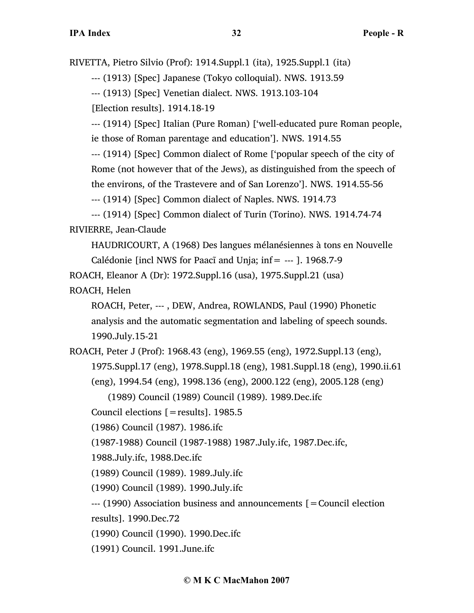RIVETTA, Pietro Silvio (Prof): 1914.Suppl.1 (ita), 1925.Suppl.1 (ita)

--- (1913) [Spec] Japanese (Tokyo colloquial). NWS. 1913.59

--- (1913) [Spec] Venetian dialect. NWS. 1913.103-104

[Election results]. 1914.18-19

--- (1914) [Spec] Italian (Pure Roman) ['well-educated pure Roman people, ie those of Roman parentage and education']. NWS. 1914.55

--- (1914) [Spec] Common dialect of Rome ['popular speech of the city of Rome (not however that of the Jews), as distinguished from the speech of the environs, of the Trastevere and of San Lorenzo']. NWS. 1914.55-56

--- (1914) [Spec] Common dialect of Naples. NWS. 1914.73

--- (1914) [Spec] Common dialect of Turin (Torino). NWS. 1914.74-74 RIVIERRE, Jean-Claude

HAUDRICOURT, A (1968) Des langues mélanésiennes à tons en Nouvelle Calédonie [incl NWS for Paacĩ and Unja; inf= --- ]. 1968.7-9

ROACH, Eleanor A (Dr): 1972.Suppl.16 (usa), 1975.Suppl.21 (usa)

ROACH, Helen

ROACH, Peter, --- , DEW, Andrea, ROWLANDS, Paul (1990) Phonetic analysis and the automatic segmentation and labeling of speech sounds. 1990.July.15-21

ROACH, Peter J (Prof): 1968.43 (eng), 1969.55 (eng), 1972.Suppl.13 (eng), 1975.Suppl.17 (eng), 1978.Suppl.18 (eng), 1981.Suppl.18 (eng), 1990.ii.61 (eng), 1994.54 (eng), 1998.136 (eng), 2000.122 (eng), 2005.128 (eng)

(1989) Council (1989) Council (1989). 1989.Dec.ifc

Council elections [=results]. 1985.5

(1986) Council (1987). 1986.ifc

(1987-1988) Council (1987-1988) 1987.July.ifc, 1987.Dec.ifc,

1988.July.ifc, 1988.Dec.ifc

(1989) Council (1989). 1989.July.ifc

(1990) Council (1989). 1990.July.ifc

--- (1990) Association business and announcements [=Council election

results]. 1990.Dec.72

(1990) Council (1990). 1990.Dec.ifc

(1991) Council. 1991.June.ifc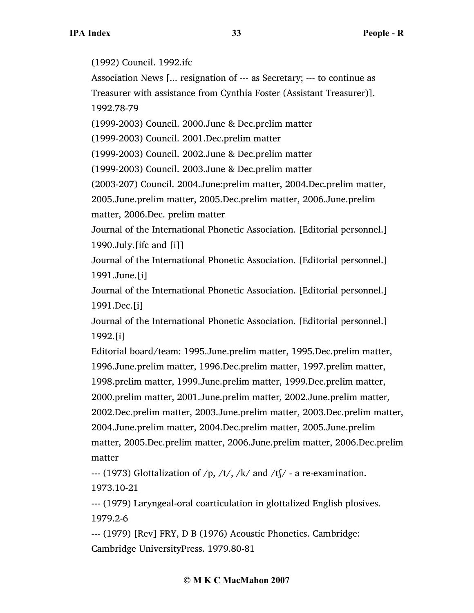(1992) Council. 1992.ifc

Association News [... resignation of --- as Secretary; --- to continue as Treasurer with assistance from Cynthia Foster (Assistant Treasurer)]. 1992.78-79

(1999-2003) Council. 2000.June & Dec.prelim matter

(1999-2003) Council. 2001.Dec.prelim matter

(1999-2003) Council. 2002.June & Dec.prelim matter

(1999-2003) Council. 2003.June & Dec.prelim matter

(2003-207) Council. 2004.June:prelim matter, 2004.Dec.prelim matter,

2005.June.prelim matter, 2005.Dec.prelim matter, 2006.June.prelim matter, 2006.Dec. prelim matter

Journal of the International Phonetic Association. [Editorial personnel.] 1990.July.[ifc and [i]]

Journal of the International Phonetic Association. [Editorial personnel.] 1991.June.[i]

Journal of the International Phonetic Association. [Editorial personnel.] 1991.Dec.[i]

Journal of the International Phonetic Association. [Editorial personnel.] 1992.[i]

Editorial board/team: 1995.June.prelim matter, 1995.Dec.prelim matter, 1996.June.prelim matter, 1996.Dec.prelim matter, 1997.prelim matter, 1998.prelim matter, 1999.June.prelim matter, 1999.Dec.prelim matter, 2000.prelim matter, 2001.June.prelim matter, 2002.June.prelim matter, 2002.Dec.prelim matter, 2003.June.prelim matter, 2003.Dec.prelim matter, 2004.June.prelim matter, 2004.Dec.prelim matter, 2005.June.prelim matter, 2005.Dec.prelim matter, 2006.June.prelim matter, 2006.Dec.prelim matter

--- (1973) Glottalization of  $/p$ ,  $/t/$ ,  $/k/$  and  $/t/$  - a re-examination. 1973.10-21

--- (1979) Laryngeal-oral coarticulation in glottalized English plosives. 1979.2-6

--- (1979) [Rev] FRY, D B (1976) Acoustic Phonetics. Cambridge: Cambridge UniversityPress. 1979.80-81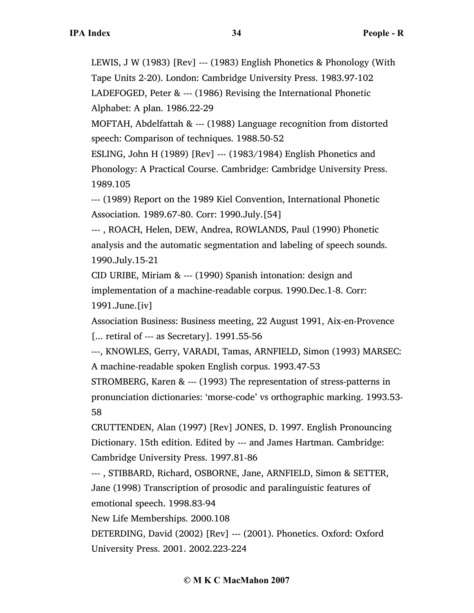LEWIS, J W (1983) [Rev] --- (1983) English Phonetics & Phonology (With Tape Units 2-20). London: Cambridge University Press. 1983.97-102 LADEFOGED, Peter & --- (1986) Revising the International Phonetic Alphabet: A plan. 1986.22-29

MOFTAH, Abdelfattah & --- (1988) Language recognition from distorted speech: Comparison of techniques. 1988.50-52

ESLING, John H (1989) [Rev] --- (1983/1984) English Phonetics and Phonology: A Practical Course. Cambridge: Cambridge University Press. 1989.105

--- (1989) Report on the 1989 Kiel Convention, International Phonetic Association. 1989.67-80. Corr: 1990.July.[54]

--- , ROACH, Helen, DEW, Andrea, ROWLANDS, Paul (1990) Phonetic analysis and the automatic segmentation and labeling of speech sounds. 1990.July.15-21

CID URIBE, Miriam & --- (1990) Spanish intonation: design and implementation of a machine-readable corpus. 1990.Dec.1-8. Corr: 1991.June.[iv]

Association Business: Business meeting, 22 August 1991, Aix-en-Provence [... retiral of --- as Secretary]. 1991.55-56

---, KNOWLES, Gerry, VARADI, Tamas, ARNFIELD, Simon (1993) MARSEC: A machine-readable spoken English corpus. 1993.47-53

STROMBERG, Karen & --- (1993) The representation of stress-patterns in pronunciation dictionaries: 'morse-code' vs orthographic marking. 1993.53- 58

CRUTTENDEN, Alan (1997) [Rev] JONES, D. 1997. English Pronouncing Dictionary. 15th edition. Edited by --- and James Hartman. Cambridge: Cambridge University Press. 1997.81-86

--- , STIBBARD, Richard, OSBORNE, Jane, ARNFIELD, Simon & SETTER, Jane (1998) Transcription of prosodic and paralinguistic features of emotional speech. 1998.83-94

New Life Memberships. 2000.108

DETERDING, David (2002) [Rev] --- (2001). Phonetics. Oxford: Oxford University Press. 2001. 2002.223-224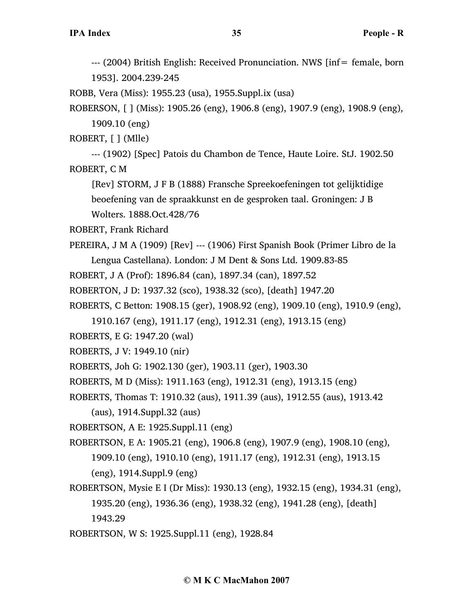--- (2004) British English: Received Pronunciation. NWS [inf= female, born 1953]. 2004.239-245

ROBB, Vera (Miss): 1955.23 (usa), 1955.Suppl.ix (usa)

ROBERSON, [ ] (Miss): 1905.26 (eng), 1906.8 (eng), 1907.9 (eng), 1908.9 (eng), 1909.10 (eng)

ROBERT, [ ] (Mlle)

--- (1902) [Spec] Patois du Chambon de Tence, Haute Loire. StJ. 1902.50 ROBERT, C M

[Rev] STORM, J F B (1888) Fransche Spreekoefeningen tot gelijktidige beoefening van de spraakkunst en de gesproken taal. Groningen: J B Wolters. 1888.Oct.428/76

ROBERT, Frank Richard

PEREIRA, J M A (1909) [Rev] --- (1906) First Spanish Book (Primer Libro de la Lengua Castellana). London: J M Dent & Sons Ltd. 1909.83-85

ROBERT, J A (Prof): 1896.84 (can), 1897.34 (can), 1897.52

ROBERTON, J D: 1937.32 (sco), 1938.32 (sco), [death] 1947.20

ROBERTS, C Betton: 1908.15 (ger), 1908.92 (eng), 1909.10 (eng), 1910.9 (eng),

1910.167 (eng), 1911.17 (eng), 1912.31 (eng), 1913.15 (eng)

ROBERTS, E G: 1947.20 (wal)

ROBERTS, J V: 1949.10 (nir)

ROBERTS, Joh G: 1902.130 (ger), 1903.11 (ger), 1903.30

ROBERTS, M D (Miss): 1911.163 (eng), 1912.31 (eng), 1913.15 (eng)

ROBERTS, Thomas T: 1910.32 (aus), 1911.39 (aus), 1912.55 (aus), 1913.42

(aus), 1914.Suppl.32 (aus)

ROBERTSON, A E: 1925.Suppl.11 (eng)

ROBERTSON, E A: 1905.21 (eng), 1906.8 (eng), 1907.9 (eng), 1908.10 (eng), 1909.10 (eng), 1910.10 (eng), 1911.17 (eng), 1912.31 (eng), 1913.15 (eng), 1914.Suppl.9 (eng)

ROBERTSON, Mysie E I (Dr Miss): 1930.13 (eng), 1932.15 (eng), 1934.31 (eng), 1935.20 (eng), 1936.36 (eng), 1938.32 (eng), 1941.28 (eng), [death] 1943.29

ROBERTSON, W S: 1925.Suppl.11 (eng), 1928.84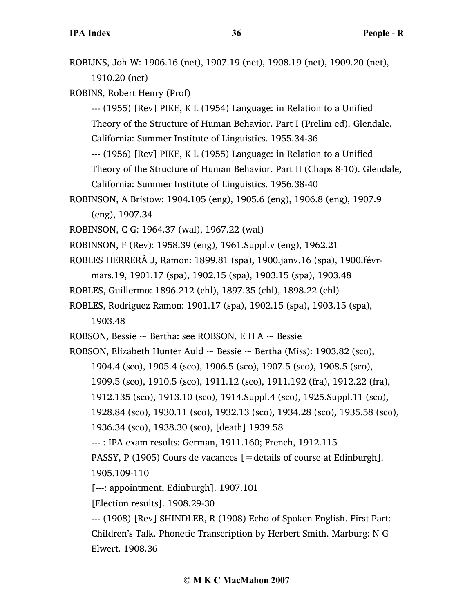ROBIJNS, Joh W: 1906.16 (net), 1907.19 (net), 1908.19 (net), 1909.20 (net), 1910.20 (net)

ROBINS, Robert Henry (Prof)

--- (1955) [Rev] PIKE, K L (1954) Language: in Relation to a Unified Theory of the Structure of Human Behavior. Part I (Prelim ed). Glendale,

California: Summer Institute of Linguistics. 1955.34-36

--- (1956) [Rev] PIKE, K L (1955) Language: in Relation to a Unified

Theory of the Structure of Human Behavior. Part II (Chaps 8-10). Glendale,

```
California: Summer Institute of Linguistics. 1956.38-40
```
- ROBINSON, A Bristow: 1904.105 (eng), 1905.6 (eng), 1906.8 (eng), 1907.9 (eng), 1907.34
- ROBINSON, C G: 1964.37 (wal), 1967.22 (wal)
- ROBINSON, F (Rev): 1958.39 (eng), 1961.Suppl.v (eng), 1962.21
- ROBLES HERRERÀ J, Ramon: 1899.81 (spa), 1900.janv.16 (spa), 1900.févrmars.19, 1901.17 (spa), 1902.15 (spa), 1903.15 (spa), 1903.48
- ROBLES, Guillermo: 1896.212 (chl), 1897.35 (chl), 1898.22 (chl)
- ROBLES, Rodriguez Ramon: 1901.17 (spa), 1902.15 (spa), 1903.15 (spa), 1903.48
- ROBSON, Bessie  $\sim$  Bertha: see ROBSON, E H A  $\sim$  Bessie
- ROBSON, Elizabeth Hunter Auld  $\sim$  Bessie  $\sim$  Bertha (Miss): 1903.82 (sco),
	- 1904.4 (sco), 1905.4 (sco), 1906.5 (sco), 1907.5 (sco), 1908.5 (sco),
	- 1909.5 (sco), 1910.5 (sco), 1911.12 (sco), 1911.192 (fra), 1912.22 (fra),
	- 1912.135 (sco), 1913.10 (sco), 1914.Suppl.4 (sco), 1925.Suppl.11 (sco),
	- 1928.84 (sco), 1930.11 (sco), 1932.13 (sco), 1934.28 (sco), 1935.58 (sco),
	- 1936.34 (sco), 1938.30 (sco), [death] 1939.58
	- --- : IPA exam results: German, 1911.160; French, 1912.115

PASSY, P (1905) Cours de vacances  $[$  = details of course at Edinburgh]. 1905.109-110

- [---: appointment, Edinburgh]. 1907.101
- [Election results]. 1908.29-30

--- (1908) [Rev] SHINDLER, R (1908) Echo of Spoken English. First Part: Children's Talk. Phonetic Transcription by Herbert Smith. Marburg: N G Elwert. 1908.36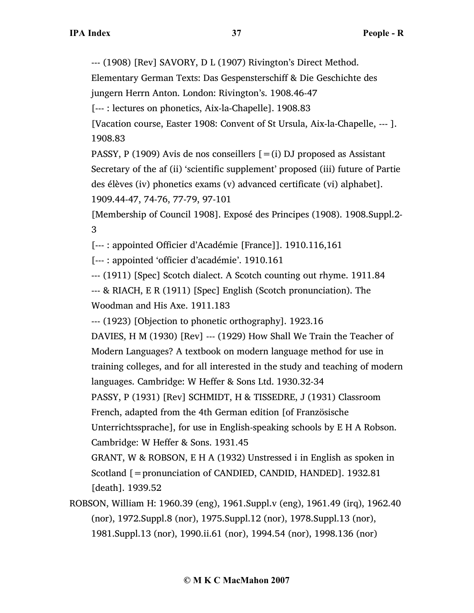--- (1908) [Rev] SAVORY, D L (1907) Rivington's Direct Method.

Elementary German Texts: Das Gespensterschiff & Die Geschichte des

jungern Herrn Anton. London: Rivington's. 1908.46-47

[--- : lectures on phonetics, Aix-la-Chapelle]. 1908.83

[Vacation course, Easter 1908: Convent of St Ursula, Aix-la-Chapelle, --- ]. 1908.83

PASSY, P (1909) Avis de nos conseillers  $[=(i)$  DJ proposed as Assistant Secretary of the af (ii) 'scientific supplement' proposed (iii) future of Partie des élèves (iv) phonetics exams (v) advanced certificate (vi) alphabet]. 1909.44-47, 74-76, 77-79, 97-101

[Membership of Council 1908]. Exposé des Principes (1908). 1908.Suppl.2- 3

[--- : appointed Officier d'Académie [France]]. 1910.116,161

[--- : appointed 'officier d'académie'. 1910.161

--- (1911) [Spec] Scotch dialect. A Scotch counting out rhyme. 1911.84

--- & RIACH, E R (1911) [Spec] English (Scotch pronunciation). The Woodman and His Axe. 1911.183

--- (1923) [Objection to phonetic orthography]. 1923.16

DAVIES, H M (1930) [Rev] --- (1929) How Shall We Train the Teacher of Modern Languages? A textbook on modern language method for use in training colleges, and for all interested in the study and teaching of modern languages. Cambridge: W Heffer & Sons Ltd. 1930.32-34 PASSY, P (1931) [Rev] SCHMIDT, H & TISSEDRE, J (1931) Classroom French, adapted from the 4th German edition [of Französische

Unterrichtssprache], for use in English-speaking schools by E H A Robson. Cambridge: W Heffer & Sons. 1931.45

GRANT, W & ROBSON, E H A (1932) Unstressed i in English as spoken in Scotland [ = pronunciation of CANDIED, CANDID, HANDED]. 1932.81 [death]. 1939.52

ROBSON, William H: 1960.39 (eng), 1961.Suppl.v (eng), 1961.49 (irq), 1962.40 (nor), 1972.Suppl.8 (nor), 1975.Suppl.12 (nor), 1978.Suppl.13 (nor), 1981.Suppl.13 (nor), 1990.ii.61 (nor), 1994.54 (nor), 1998.136 (nor)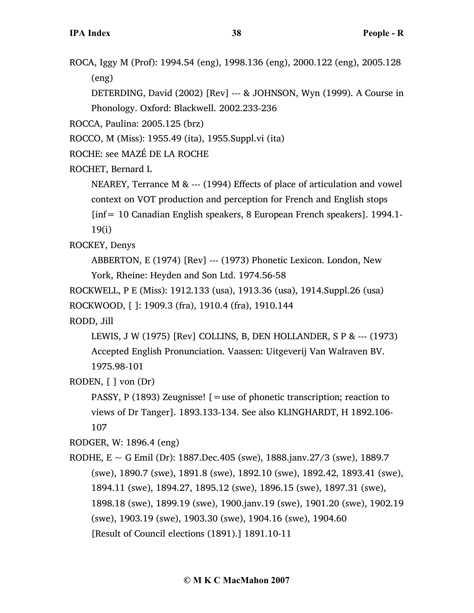ROCA, Iggy M (Prof): 1994.54 (eng), 1998.136 (eng), 2000.122 (eng), 2005.128 (eng)

DETERDING, David (2002) [Rev] --- & JOHNSON, Wyn (1999). A Course in Phonology. Oxford: Blackwell. 2002.233-236

ROCCA, Paulina: 2005.125 (brz)

ROCCO, M (Miss): 1955.49 (ita), 1955.Suppl.vi (ita)

ROCHE: see MAZÉ DE LA ROCHE

ROCHET, Bernard L

NEAREY, Terrance M & --- (1994) Effects of place of articulation and vowel context on VOT production and perception for French and English stops

[inf= 10 Canadian English speakers, 8 European French speakers]. 1994.1- 19(i)

ROCKEY, Denys

ABBERTON, E (1974) [Rev] --- (1973) Phonetic Lexicon. London, New York, Rheine: Heyden and Son Ltd. 1974.56-58

ROCKWELL, P E (Miss): 1912.133 (usa), 1913.36 (usa), 1914.Suppl.26 (usa) ROCKWOOD, [ ]: 1909.3 (fra), 1910.4 (fra), 1910.144

RODD, Jill

LEWIS, J W (1975) [Rev] COLLINS, B, DEN HOLLANDER, S P & --- (1973) Accepted English Pronunciation. Vaassen: Uitgeverij Van Walraven BV. 1975.98-101

RODEN, [ ] von (Dr)

PASSY, P (1893) Zeugnisse!  $\mathcal{F}$  = use of phonetic transcription; reaction to views of Dr Tanger]. 1893.133-134. See also KLINGHARDT, H 1892.106- 107

RODGER, W: 1896.4 (eng)

RODHE,  $E \sim G$  Emil (Dr): 1887. Dec. 405 (swe), 1888. janv. 27/3 (swe), 1889. 7 (swe), 1890.7 (swe), 1891.8 (swe), 1892.10 (swe), 1892.42, 1893.41 (swe), 1894.11 (swe), 1894.27, 1895.12 (swe), 1896.15 (swe), 1897.31 (swe), 1898.18 (swe), 1899.19 (swe), 1900.janv.19 (swe), 1901.20 (swe), 1902.19 (swe), 1903.19 (swe), 1903.30 (swe), 1904.16 (swe), 1904.60 [Result of Council elections (1891).] 1891.10-11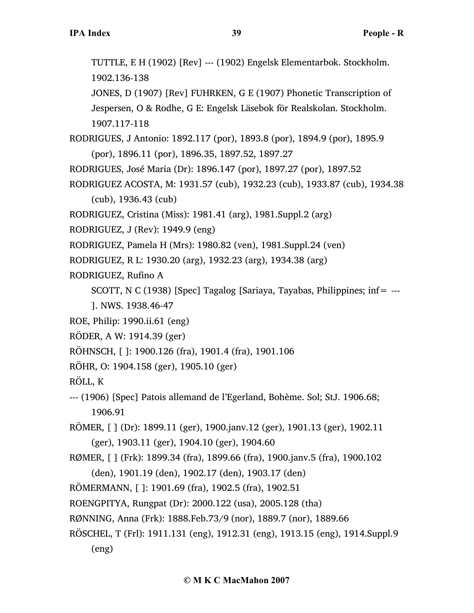JONES, D (1907) [Rev] FUHRKEN, G E (1907) Phonetic Transcription of Jespersen, O & Rodhe, G E: Engelsk Läsebok för Realskolan. Stockholm. 1907.117-118

- RODRIGUES, J Antonio: 1892.117 (por), 1893.8 (por), 1894.9 (por), 1895.9 (por), 1896.11 (por), 1896.35, 1897.52, 1897.27
- RODRIGUES, José Maria (Dr): 1896.147 (por), 1897.27 (por), 1897.52
- RODRIGUEZ ACOSTA, M: 1931.57 (cub), 1932.23 (cub), 1933.87 (cub), 1934.38 (cub), 1936.43 (cub)
- RODRIGUEZ, Cristina (Miss): 1981.41 (arg), 1981.Suppl.2 (arg)
- RODRIGUEZ, J (Rev): 1949.9 (eng)
- RODRIGUEZ, Pamela H (Mrs): 1980.82 (ven), 1981.Suppl.24 (ven)
- RODRIGUEZ, R L: 1930.20 (arg), 1932.23 (arg), 1934.38 (arg)
- RODRIGUEZ, Rufino A
	- SCOTT, N C (1938) [Spec] Tagalog [Sariaya, Tayabas, Philippines; inf=  $-$
	- ]. NWS. 1938.46-47
- ROE, Philip: 1990.ii.61 (eng)
- RÖDER, A W: 1914.39 (ger)
- RÖHNSCH, [ ]: 1900.126 (fra), 1901.4 (fra), 1901.106
- RÖHR, O: 1904.158 (ger), 1905.10 (ger)
- RÖLL, K
- --- (1906) [Spec] Patois allemand de l'Egerland, Bohème. Sol; StJ. 1906.68; 1906.91
- RÖMER, [ ] (Dr): 1899.11 (ger), 1900.janv.12 (ger), 1901.13 (ger), 1902.11 (ger), 1903.11 (ger), 1904.10 (ger), 1904.60
- RØMER, [ ] (Frk): 1899.34 (fra), 1899.66 (fra), 1900.janv.5 (fra), 1900.102 (den), 1901.19 (den), 1902.17 (den), 1903.17 (den)
- RÖMERMANN, [ ]: 1901.69 (fra), 1902.5 (fra), 1902.51
- ROENGPITYA, Rungpat (Dr): 2000.122 (usa), 2005.128 (tha)
- RØNNING, Anna (Frk): 1888.Feb.73/9 (nor), 1889.7 (nor), 1889.66
- RÖSCHEL, T (Frl): 1911.131 (eng), 1912.31 (eng), 1913.15 (eng), 1914.Suppl.9 (eng)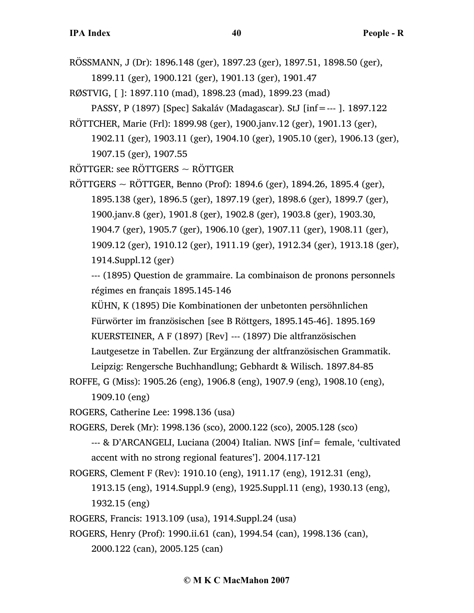- RÖSSMANN, J (Dr): 1896.148 (ger), 1897.23 (ger), 1897.51, 1898.50 (ger), 1899.11 (ger), 1900.121 (ger), 1901.13 (ger), 1901.47
- RØSTVIG, [ ]: 1897.110 (mad), 1898.23 (mad), 1899.23 (mad)
	- PASSY, P (1897) [Spec] Sakaláv (Madagascar). StJ [inf=--- ]. 1897.122
- RÖTTCHER, Marie (Frl): 1899.98 (ger), 1900.janv.12 (ger), 1901.13 (ger), 1902.11 (ger), 1903.11 (ger), 1904.10 (ger), 1905.10 (ger), 1906.13 (ger), 1907.15 (ger), 1907.55
- RÖTTGER: see RÖTTGERS ~ RÖTTGER
- $RÖTTGERS \sim RÖTTGER$ , Benno (Prof): 1894.6 (ger), 1894.26, 1895.4 (ger), 1895.138 (ger), 1896.5 (ger), 1897.19 (ger), 1898.6 (ger), 1899.7 (ger), 1900.janv.8 (ger), 1901.8 (ger), 1902.8 (ger), 1903.8 (ger), 1903.30, 1904.7 (ger), 1905.7 (ger), 1906.10 (ger), 1907.11 (ger), 1908.11 (ger), 1909.12 (ger), 1910.12 (ger), 1911.19 (ger), 1912.34 (ger), 1913.18 (ger), 1914.Suppl.12 (ger)

--- (1895) Question de grammaire. La combinaison de pronons personnels régimes en français 1895.145-146

KÜHN, K (1895) Die Kombinationen der unbetonten persöhnlichen Fürwörter im französischen [see B Röttgers, 1895.145-46]. 1895.169 KUERSTEINER, A F (1897) [Rev] --- (1897) Die altfranzösischen

Lautgesetze in Tabellen. Zur Ergänzung der altfranzösischen Grammatik. Leipzig: Rengersche Buchhandlung; Gebhardt & Wilisch. 1897.84-85

ROFFE, G (Miss): 1905.26 (eng), 1906.8 (eng), 1907.9 (eng), 1908.10 (eng),

1909.10 (eng)

ROGERS, Catherine Lee: 1998.136 (usa)

ROGERS, Derek (Mr): 1998.136 (sco), 2000.122 (sco), 2005.128 (sco)

- --- & D'ARCANGELI, Luciana (2004) Italian. NWS [inf = female, 'cultivated accent with no strong regional features']. 2004.117-121
- ROGERS, Clement F (Rev): 1910.10 (eng), 1911.17 (eng), 1912.31 (eng),
	- 1913.15 (eng), 1914.Suppl.9 (eng), 1925.Suppl.11 (eng), 1930.13 (eng), 1932.15 (eng)
- ROGERS, Francis: 1913.109 (usa), 1914.Suppl.24 (usa)

ROGERS, Henry (Prof): 1990.ii.61 (can), 1994.54 (can), 1998.136 (can),

2000.122 (can), 2005.125 (can)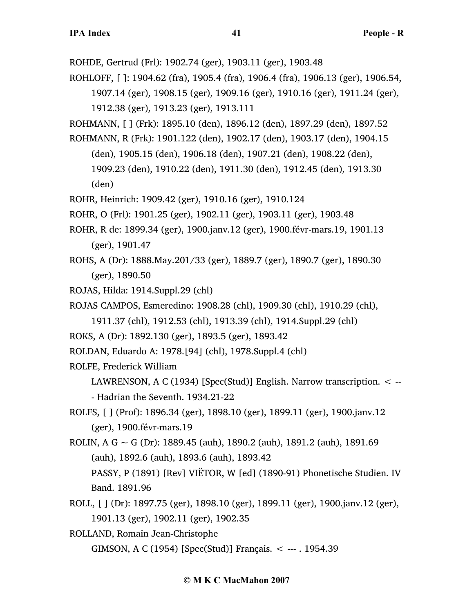ROHDE, Gertrud (Frl): 1902.74 (ger), 1903.11 (ger), 1903.48

ROHLOFF, [ ]: 1904.62 (fra), 1905.4 (fra), 1906.4 (fra), 1906.13 (ger), 1906.54, 1907.14 (ger), 1908.15 (ger), 1909.16 (ger), 1910.16 (ger), 1911.24 (ger),

1912.38 (ger), 1913.23 (ger), 1913.111

ROHMANN, [ ] (Frk): 1895.10 (den), 1896.12 (den), 1897.29 (den), 1897.52

ROHMANN, R (Frk): 1901.122 (den), 1902.17 (den), 1903.17 (den), 1904.15 (den), 1905.15 (den), 1906.18 (den), 1907.21 (den), 1908.22 (den), 1909.23 (den), 1910.22 (den), 1911.30 (den), 1912.45 (den), 1913.30

(den)

ROHR, Heinrich: 1909.42 (ger), 1910.16 (ger), 1910.124

ROHR, O (Frl): 1901.25 (ger), 1902.11 (ger), 1903.11 (ger), 1903.48

- ROHR, R de: 1899.34 (ger), 1900.janv.12 (ger), 1900.févr-mars.19, 1901.13 (ger), 1901.47
- ROHS, A (Dr): 1888.May.201/33 (ger), 1889.7 (ger), 1890.7 (ger), 1890.30 (ger), 1890.50
- ROJAS, Hilda: 1914.Suppl.29 (chl)

ROJAS CAMPOS, Esmeredino: 1908.28 (chl), 1909.30 (chl), 1910.29 (chl),

- 1911.37 (chl), 1912.53 (chl), 1913.39 (chl), 1914.Suppl.29 (chl)
- ROKS, A (Dr): 1892.130 (ger), 1893.5 (ger), 1893.42
- ROLDAN, Eduardo A: 1978.[94] (chl), 1978.Suppl.4 (chl)

ROLFE, Frederick William

- LAWRENSON, A C (1934) [Spec(Stud)] English. Narrow transcription. < -- - Hadrian the Seventh. 1934.21-22
- ROLFS, [ ] (Prof): 1896.34 (ger), 1898.10 (ger), 1899.11 (ger), 1900.janv.12 (ger), 1900.févr-mars.19
- ROLIN, A G ~ G (Dr): 1889.45 (auh), 1890.2 (auh), 1891.2 (auh), 1891.69 (auh), 1892.6 (auh), 1893.6 (auh), 1893.42
	- PASSY, P (1891) [Rev] VIËTOR, W [ed] (1890-91) Phonetische Studien. IV Band. 1891.96
- ROLL, [ ] (Dr): 1897.75 (ger), 1898.10 (ger), 1899.11 (ger), 1900.janv.12 (ger), 1901.13 (ger), 1902.11 (ger), 1902.35
- ROLLAND, Romain Jean-Christophe GIMSON, A C (1954) [Spec(Stud)] Français. < --- . 1954.39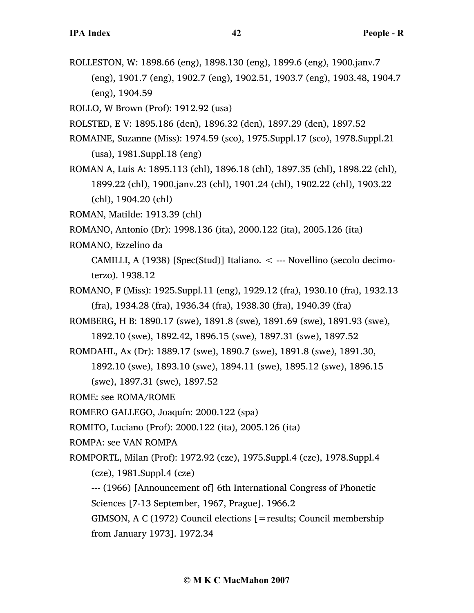ROLLESTON, W: 1898.66 (eng), 1898.130 (eng), 1899.6 (eng), 1900.janv.7 (eng), 1901.7 (eng), 1902.7 (eng), 1902.51, 1903.7 (eng), 1903.48, 1904.7 (eng), 1904.59

ROLLO, W Brown (Prof): 1912.92 (usa)

- ROLSTED, E V: 1895.186 (den), 1896.32 (den), 1897.29 (den), 1897.52
- ROMAINE, Suzanne (Miss): 1974.59 (sco), 1975.Suppl.17 (sco), 1978.Suppl.21 (usa), 1981.Suppl.18 (eng)
- ROMAN A, Luis A: 1895.113 (chl), 1896.18 (chl), 1897.35 (chl), 1898.22 (chl), 1899.22 (chl), 1900.janv.23 (chl), 1901.24 (chl), 1902.22 (chl), 1903.22 (chl), 1904.20 (chl)
- ROMAN, Matilde: 1913.39 (chl)
- ROMANO, Antonio (Dr): 1998.136 (ita), 2000.122 (ita), 2005.126 (ita)
- ROMANO, Ezzelino da
	- CAMILLI, A (1938) [Spec(Stud)] Italiano. < --- Novellino (secolo decimoterzo). 1938.12
- ROMANO, F (Miss): 1925.Suppl.11 (eng), 1929.12 (fra), 1930.10 (fra), 1932.13 (fra), 1934.28 (fra), 1936.34 (fra), 1938.30 (fra), 1940.39 (fra)
- ROMBERG, H B: 1890.17 (swe), 1891.8 (swe), 1891.69 (swe), 1891.93 (swe),
	- 1892.10 (swe), 1892.42, 1896.15 (swe), 1897.31 (swe), 1897.52
- ROMDAHL, Ax (Dr): 1889.17 (swe), 1890.7 (swe), 1891.8 (swe), 1891.30,
	- 1892.10 (swe), 1893.10 (swe), 1894.11 (swe), 1895.12 (swe), 1896.15 (swe), 1897.31 (swe), 1897.52
- ROME: see ROMA/ROME
- ROMERO GALLEGO, Joaquín: 2000.122 (spa)
- ROMITO, Luciano (Prof): 2000.122 (ita), 2005.126 (ita)
- ROMPA: see VAN ROMPA
- ROMPORTL, Milan (Prof): 1972.92 (cze), 1975.Suppl.4 (cze), 1978.Suppl.4 (cze), 1981.Suppl.4 (cze)
	- --- (1966) [Announcement of] 6th International Congress of Phonetic Sciences [7-13 September, 1967, Prague]. 1966.2

GIMSON, A C (1972) Council elections [=results; Council membership from January 1973]. 1972.34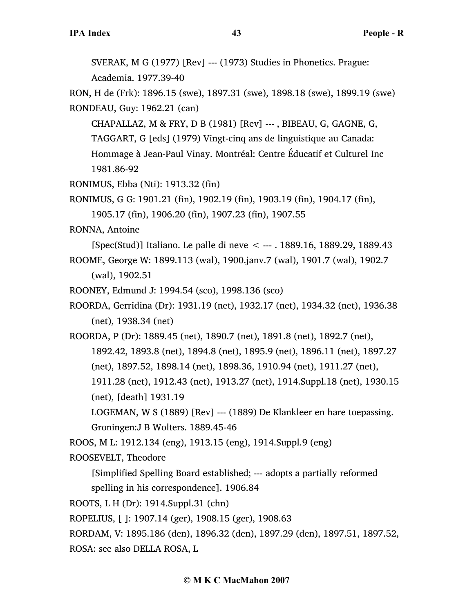SVERAK, M G (1977) [Rev] --- (1973) Studies in Phonetics. Prague: Academia. 1977.39-40

RON, H de (Frk): 1896.15 (swe), 1897.31 (swe), 1898.18 (swe), 1899.19 (swe) RONDEAU, Guy: 1962.21 (can)

CHAPALLAZ, M & FRY, D B (1981) [Rev] --- , BIBEAU, G, GAGNE, G, TAGGART, G [eds] (1979) Vingt-cinq ans de linguistique au Canada: Hommage à Jean-Paul Vinay. Montréal: Centre Éducatif et Culturel Inc 1981.86-92

RONIMUS, Ebba (Nti): 1913.32 (fin)

RONIMUS, G G: 1901.21 (fin), 1902.19 (fin), 1903.19 (fin), 1904.17 (fin),

1905.17 (fin), 1906.20 (fin), 1907.23 (fin), 1907.55

RONNA, Antoine

[Spec(Stud)] Italiano. Le palle di neve < --- . 1889.16, 1889.29, 1889.43 ROOME, George W: 1899.113 (wal), 1900.janv.7 (wal), 1901.7 (wal), 1902.7 (wal), 1902.51

ROONEY, Edmund J: 1994.54 (sco), 1998.136 (sco)

ROORDA, Gerridina (Dr): 1931.19 (net), 1932.17 (net), 1934.32 (net), 1936.38 (net), 1938.34 (net)

ROORDA, P (Dr): 1889.45 (net), 1890.7 (net), 1891.8 (net), 1892.7 (net), 1892.42, 1893.8 (net), 1894.8 (net), 1895.9 (net), 1896.11 (net), 1897.27 (net), 1897.52, 1898.14 (net), 1898.36, 1910.94 (net), 1911.27 (net),

1911.28 (net), 1912.43 (net), 1913.27 (net), 1914.Suppl.18 (net), 1930.15 (net), [death] 1931.19

LOGEMAN, W S (1889) [Rev] --- (1889) De Klankleer en hare toepassing. Groningen:J B Wolters. 1889.45-46

ROOS, M L: 1912.134 (eng), 1913.15 (eng), 1914.Suppl.9 (eng)

ROOSEVELT, Theodore

[Simplified Spelling Board established; --- adopts a partially reformed spelling in his correspondence]. 1906.84

ROOTS, L H (Dr): 1914.Suppl.31 (chn)

ROPELIUS, [ ]: 1907.14 (ger), 1908.15 (ger), 1908.63

RORDAM, V: 1895.186 (den), 1896.32 (den), 1897.29 (den), 1897.51, 1897.52, ROSA: see also DELLA ROSA, L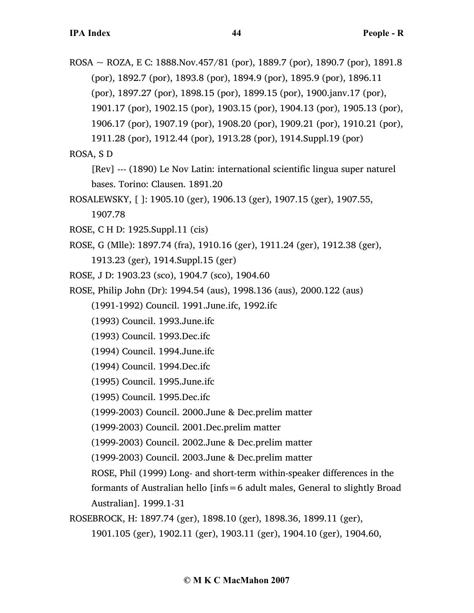ROSA ~ ROZA, E C: 1888. Nov. 457/81 (por), 1889. 7 (por), 1890. 7 (por), 1891. 8 (por), 1892.7 (por), 1893.8 (por), 1894.9 (por), 1895.9 (por), 1896.11 (por), 1897.27 (por), 1898.15 (por), 1899.15 (por), 1900.janv.17 (por), 1901.17 (por), 1902.15 (por), 1903.15 (por), 1904.13 (por), 1905.13 (por), 1906.17 (por), 1907.19 (por), 1908.20 (por), 1909.21 (por), 1910.21 (por), 1911.28 (por), 1912.44 (por), 1913.28 (por), 1914.Suppl.19 (por) ROSA, S D

[Rev] --- (1890) Le Nov Latin: international scientific lingua super naturel bases. Torino: Clausen. 1891.20

ROSALEWSKY, [ ]: 1905.10 (ger), 1906.13 (ger), 1907.15 (ger), 1907.55, 1907.78

ROSE, C H D: 1925.Suppl.11 (cis)

ROSE, G (Mlle): 1897.74 (fra), 1910.16 (ger), 1911.24 (ger), 1912.38 (ger), 1913.23 (ger), 1914.Suppl.15 (ger)

- ROSE, J D: 1903.23 (sco), 1904.7 (sco), 1904.60
- ROSE, Philip John (Dr): 1994.54 (aus), 1998.136 (aus), 2000.122 (aus)

(1991-1992) Council. 1991.June.ifc, 1992.ifc

(1993) Council. 1993.June.ifc

(1993) Council. 1993.Dec.ifc

(1994) Council. 1994.June.ifc

(1994) Council. 1994.Dec.ifc

(1995) Council. 1995.June.ifc

(1995) Council. 1995.Dec.ifc

(1999-2003) Council. 2000.June & Dec.prelim matter

(1999-2003) Council. 2001.Dec.prelim matter

(1999-2003) Council. 2002.June & Dec.prelim matter

(1999-2003) Council. 2003.June & Dec.prelim matter

ROSE, Phil (1999) Long- and short-term within-speaker differences in the

formants of Australian hello [infs=6 adult males, General to slightly Broad Australian]. 1999.1-31

ROSEBROCK, H: 1897.74 (ger), 1898.10 (ger), 1898.36, 1899.11 (ger),

1901.105 (ger), 1902.11 (ger), 1903.11 (ger), 1904.10 (ger), 1904.60,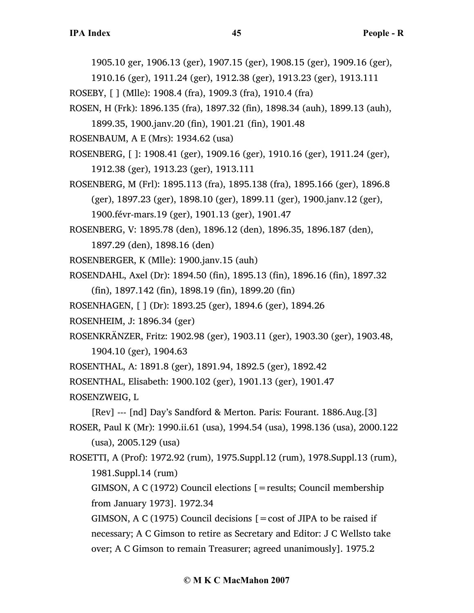1905.10 ger, 1906.13 (ger), 1907.15 (ger), 1908.15 (ger), 1909.16 (ger),

- 1910.16 (ger), 1911.24 (ger), 1912.38 (ger), 1913.23 (ger), 1913.111 ROSEBY, [ ] (Mlle): 1908.4 (fra), 1909.3 (fra), 1910.4 (fra)
- ROSEN, H (Frk): 1896.135 (fra), 1897.32 (fin), 1898.34 (auh), 1899.13 (auh),
	- 1899.35, 1900.janv.20 (fin), 1901.21 (fin), 1901.48

ROSENBAUM, A E (Mrs): 1934.62 (usa)

- ROSENBERG, [ ]: 1908.41 (ger), 1909.16 (ger), 1910.16 (ger), 1911.24 (ger), 1912.38 (ger), 1913.23 (ger), 1913.111
- ROSENBERG, M (Frl): 1895.113 (fra), 1895.138 (fra), 1895.166 (ger), 1896.8 (ger), 1897.23 (ger), 1898.10 (ger), 1899.11 (ger), 1900.janv.12 (ger), 1900.févr-mars.19 (ger), 1901.13 (ger), 1901.47

ROSENBERG, V: 1895.78 (den), 1896.12 (den), 1896.35, 1896.187 (den),

1897.29 (den), 1898.16 (den)

ROSENBERGER, K (Mlle): 1900.janv.15 (auh)

ROSENDAHL, Axel (Dr): 1894.50 (fin), 1895.13 (fin), 1896.16 (fin), 1897.32

(fin), 1897.142 (fin), 1898.19 (fin), 1899.20 (fin)

ROSENHAGEN, [ ] (Dr): 1893.25 (ger), 1894.6 (ger), 1894.26

ROSENHEIM, J: 1896.34 (ger)

ROSENKRÄNZER, Fritz: 1902.98 (ger), 1903.11 (ger), 1903.30 (ger), 1903.48, 1904.10 (ger), 1904.63

ROSENTHAL, A: 1891.8 (ger), 1891.94, 1892.5 (ger), 1892.42

ROSENTHAL, Elisabeth: 1900.102 (ger), 1901.13 (ger), 1901.47

ROSENZWEIG, L

[Rev] --- [nd] Day's Sandford & Merton. Paris: Fourant. 1886.Aug.[3] ROSER, Paul K (Mr): 1990.ii.61 (usa), 1994.54 (usa), 1998.136 (usa), 2000.122 (usa), 2005.129 (usa)

ROSETTI, A (Prof): 1972.92 (rum), 1975.Suppl.12 (rum), 1978.Suppl.13 (rum), 1981.Suppl.14 (rum)

GIMSON, A C (1972) Council elections  $\mathcal{I}$  = results; Council membership from January 1973]. 1972.34

GIMSON, A C (1975) Council decisions  $[ = \text{cost of JIPA to be raised if}]$ necessary; A C Gimson to retire as Secretary and Editor: J C Wellsto take over; A C Gimson to remain Treasurer; agreed unanimously]. 1975.2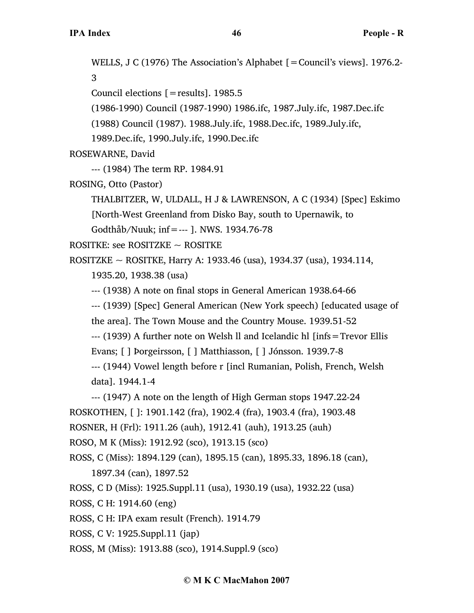WELLS, J C (1976) The Association's Alphabet [ = Council's views]. 1976.2-3 Council elections [=results]. 1985.5 (1986-1990) Council (1987-1990) 1986.ifc, 1987.July.ifc, 1987.Dec.ifc (1988) Council (1987). 1988.July.ifc, 1988.Dec.ifc, 1989.July.ifc, 1989.Dec.ifc, 1990.July.ifc, 1990.Dec.ifc ROSEWARNE, David --- (1984) The term RP. 1984.91 ROSING, Otto (Pastor) THALBITZER, W, ULDALL, H J & LAWRENSON, A C (1934) [Spec] Eskimo [North-West Greenland from Disko Bay, south to Upernawik, to Godthåb/Nuuk; inf=--- ]. NWS. 1934.76-78 ROSITKE: see ROSITZKE ~ ROSITKE ROSITZKE ~ ROSITKE, Harry A: 1933.46 (usa), 1934.37 (usa), 1934.114, 1935.20, 1938.38 (usa) --- (1938) A note on final stops in General American 1938.64-66 --- (1939) [Spec] General American (New York speech) [educated usage of the area]. The Town Mouse and the Country Mouse. 1939.51-52 --- (1939) A further note on Welsh ll and Icelandic hl [infs=Trevor Ellis Evans; [ ] Þorgeirsson, [ ] Matthiasson, [ ] Jónsson. 1939.7-8 --- (1944) Vowel length before r [incl Rumanian, Polish, French, Welsh data]. 1944.1-4 --- (1947) A note on the length of High German stops 1947.22-24 ROSKOTHEN, [ ]: 1901.142 (fra), 1902.4 (fra), 1903.4 (fra), 1903.48 ROSNER, H (Frl): 1911.26 (auh), 1912.41 (auh), 1913.25 (auh) ROSO, M K (Miss): 1912.92 (sco), 1913.15 (sco) ROSS, C (Miss): 1894.129 (can), 1895.15 (can), 1895.33, 1896.18 (can), 1897.34 (can), 1897.52 ROSS, C D (Miss): 1925.Suppl.11 (usa), 1930.19 (usa), 1932.22 (usa) ROSS, C H: 1914.60 (eng) ROSS, C H: IPA exam result (French). 1914.79 ROSS, C V: 1925.Suppl.11 (jap)

ROSS, M (Miss): 1913.88 (sco), 1914.Suppl.9 (sco)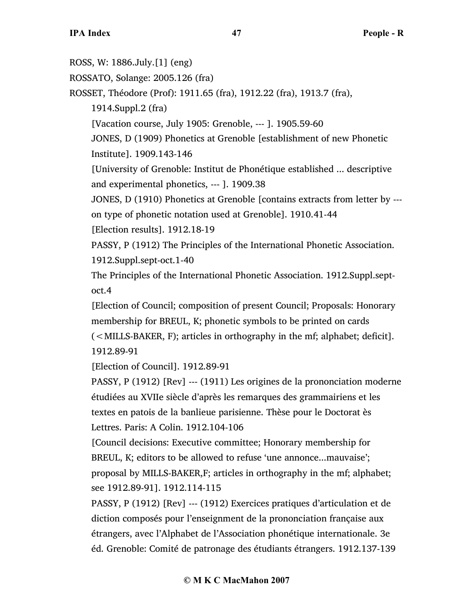ROSS, W: 1886.July.[1] (eng) ROSSATO, Solange: 2005.126 (fra) ROSSET, Théodore (Prof): 1911.65 (fra), 1912.22 (fra), 1913.7 (fra), 1914.Suppl.2 (fra) [Vacation course, July 1905: Grenoble, --- ]. 1905.59-60 JONES, D (1909) Phonetics at Grenoble [establishment of new Phonetic Institute]. 1909.143-146 [University of Grenoble: Institut de Phonétique established ... descriptive and experimental phonetics, --- ]. 1909.38 JONES, D (1910) Phonetics at Grenoble [contains extracts from letter by -- on type of phonetic notation used at Grenoble]. 1910.41-44 [Election results]. 1912.18-19 PASSY, P (1912) The Principles of the International Phonetic Association. 1912.Suppl.sept-oct.1-40 The Principles of the International Phonetic Association. 1912.Suppl.septoct.4 [Election of Council; composition of present Council; Proposals: Honorary membership for BREUL, K; phonetic symbols to be printed on cards (<MILLS-BAKER, F); articles in orthography in the mf; alphabet; deficit]. 1912.89-91 [Election of Council]. 1912.89-91 PASSY, P (1912) [Rev] --- (1911) Les origines de la prononciation moderne étudiées au XVIIe siècle d'après les remarques des grammairiens et les textes en patois de la banlieue parisienne. Thèse pour le Doctorat ès Lettres. Paris: A Colin. 1912.104-106 [Council decisions: Executive committee; Honorary membership for BREUL, K; editors to be allowed to refuse 'une annonce...mauvaise'; proposal by MILLS-BAKER,F; articles in orthography in the mf; alphabet; see 1912.89-91]. 1912.114-115 PASSY, P (1912) [Rev] --- (1912) Exercices pratiques d'articulation et de diction composés pour l'enseignment de la prononciation française aux étrangers, avec l'Alphabet de l'Association phonétique internationale. 3e éd. Grenoble: Comité de patronage des étudiants étrangers. 1912.137-139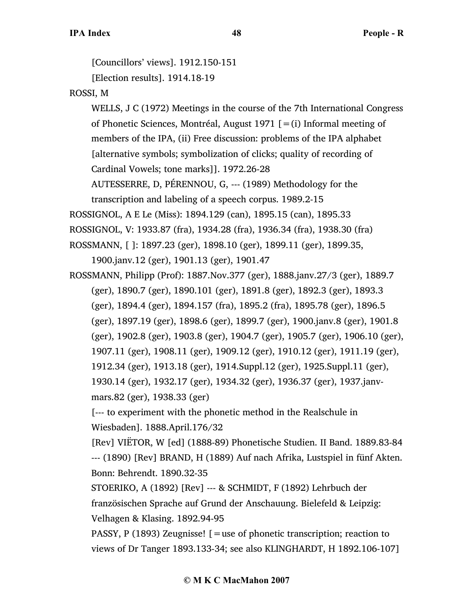[Councillors' views]. 1912.150-151

[Election results]. 1914.18-19

# ROSSI, M

WELLS, J C (1972) Meetings in the course of the 7th International Congress of Phonetic Sciences, Montréal, August 1971  $[=(i)]$  Informal meeting of members of the IPA, (ii) Free discussion: problems of the IPA alphabet [alternative symbols; symbolization of clicks; quality of recording of Cardinal Vowels; tone marks]]. 1972.26-28 AUTESSERRE, D, PÉRENNOU, G, --- (1989) Methodology for the

transcription and labeling of a speech corpus. 1989.2-15

ROSSIGNOL, A E Le (Miss): 1894.129 (can), 1895.15 (can), 1895.33

ROSSIGNOL, V: 1933.87 (fra), 1934.28 (fra), 1936.34 (fra), 1938.30 (fra)

ROSSMANN, [ ]: 1897.23 (ger), 1898.10 (ger), 1899.11 (ger), 1899.35,

1900.janv.12 (ger), 1901.13 (ger), 1901.47

ROSSMANN, Philipp (Prof): 1887.Nov.377 (ger), 1888.janv.27/3 (ger), 1889.7 (ger), 1890.7 (ger), 1890.101 (ger), 1891.8 (ger), 1892.3 (ger), 1893.3 (ger), 1894.4 (ger), 1894.157 (fra), 1895.2 (fra), 1895.78 (ger), 1896.5 (ger), 1897.19 (ger), 1898.6 (ger), 1899.7 (ger), 1900.janv.8 (ger), 1901.8 (ger), 1902.8 (ger), 1903.8 (ger), 1904.7 (ger), 1905.7 (ger), 1906.10 (ger), 1907.11 (ger), 1908.11 (ger), 1909.12 (ger), 1910.12 (ger), 1911.19 (ger), 1912.34 (ger), 1913.18 (ger), 1914.Suppl.12 (ger), 1925.Suppl.11 (ger), 1930.14 (ger), 1932.17 (ger), 1934.32 (ger), 1936.37 (ger), 1937.janvmars.82 (ger), 1938.33 (ger)

[--- to experiment with the phonetic method in the Realschule in Wiesbaden]. 1888.April.176/32

[Rev] VIËTOR, W [ed] (1888-89) Phonetische Studien. II Band. 1889.83-84 --- (1890) [Rev] BRAND, H (1889) Auf nach Afrika, Lustspiel in fünf Akten. Bonn: Behrendt. 1890.32-35

STOERIKO, A (1892) [Rev] --- & SCHMIDT, F (1892) Lehrbuch der französischen Sprache auf Grund der Anschauung. Bielefeld & Leipzig: Velhagen & Klasing. 1892.94-95

PASSY, P (1893) Zeugnisse!  $\mathcal{F}$  = use of phonetic transcription; reaction to views of Dr Tanger 1893.133-34; see also KLINGHARDT, H 1892.106-107]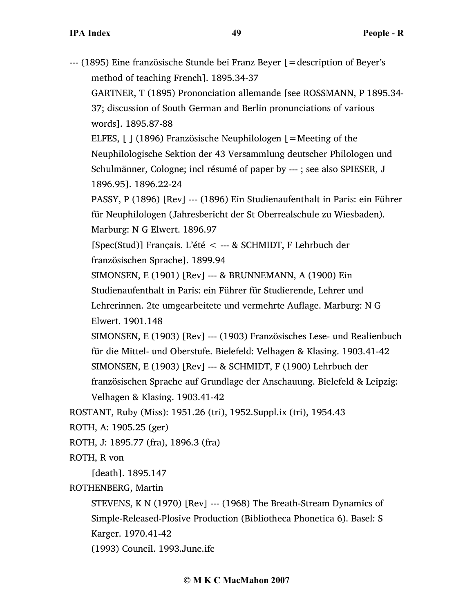| --- (1895) Eine französische Stunde bei Franz Beyer [ = description of Beyer's |
|--------------------------------------------------------------------------------|
| method of teaching French]. 1895.34-37                                         |
| GARTNER, T (1895) Prononciation allemande [see ROSSMANN, P 1895.34-            |
| 37; discussion of South German and Berlin pronunciations of various            |
| words]. 1895.87-88                                                             |
| ELFES, [ ] (1896) Französische Neuphilologen [ = Meeting of the                |
| Neuphilologische Sektion der 43 Versammlung deutscher Philologen und           |
| Schulmänner, Cologne; incl résumé of paper by ---; see also SPIESER, J         |
| 1896.95]. 1896.22-24                                                           |
| PASSY, P (1896) [Rev] --- (1896) Ein Studienaufenthalt in Paris: ein Führer    |
| für Neuphilologen (Jahresbericht der St Oberrealschule zu Wiesbaden).          |
| Marburg: N G Elwert. 1896.97                                                   |
| [Spec(Stud)] Français. L'été < --- & SCHMIDT, F Lehrbuch der                   |
| französischen Sprache]. 1899.94                                                |
| SIMONSEN, E (1901) [Rev] --- & BRUNNEMANN, A (1900) Ein                        |
| Studienaufenthalt in Paris: ein Führer für Studierende, Lehrer und             |
| Lehrerinnen. 2te umgearbeitete und vermehrte Auflage. Marburg: N G             |
| Elwert. 1901.148                                                               |
| SIMONSEN, E (1903) [Rev] --- (1903) Französisches Lese- und Realienbuch        |
| für die Mittel- und Oberstufe. Bielefeld: Velhagen & Klasing. 1903.41-42       |
| SIMONSEN, E (1903) [Rev] --- & SCHMIDT, F (1900) Lehrbuch der                  |
| französischen Sprache auf Grundlage der Anschauung. Bielefeld & Leipzig:       |
| Velhagen & Klasing. 1903.41-42                                                 |
| ROSTANT, Ruby (Miss): 1951.26 (tri), 1952. Suppl.ix (tri), 1954.43             |
| ROTH, A: 1905.25 (ger)                                                         |
| ROTH, J: 1895.77 (fra), 1896.3 (fra)                                           |
| ROTH, R von                                                                    |
| [death]. 1895.147                                                              |
| ROTHENBERG, Martin                                                             |
| STEVENS, K N (1970) [Rev] --- (1968) The Breath-Stream Dynamics of             |
| Simple-Released-Plosive Production (Bibliotheca Phonetica 6). Basel: S         |
| Karger. 1970.41-42                                                             |
| (1993) Council. 1993. June.ifc                                                 |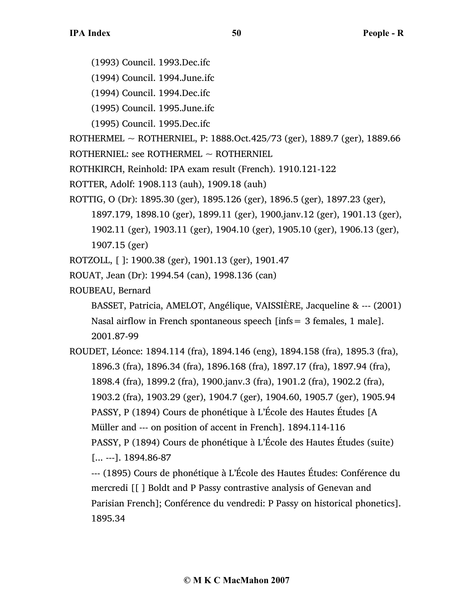- (1993) Council. 1993.Dec.ifc
- (1994) Council. 1994.June.ifc
- (1994) Council. 1994.Dec.ifc
- (1995) Council. 1995.June.ifc
- (1995) Council. 1995.Dec.ifc

ROTHERMEL ~ ROTHERNIEL, P: 1888.Oct.425/73 (ger), 1889.7 (ger), 1889.66 ROTHERNIEL: see ROTHERMEL  $\sim$  ROTHERNIEL

- ROTHKIRCH, Reinhold: IPA exam result (French). 1910.121-122
- ROTTER, Adolf: 1908.113 (auh), 1909.18 (auh)
- ROTTIG, O (Dr): 1895.30 (ger), 1895.126 (ger), 1896.5 (ger), 1897.23 (ger),
	- 1897.179, 1898.10 (ger), 1899.11 (ger), 1900.janv.12 (ger), 1901.13 (ger),
	- 1902.11 (ger), 1903.11 (ger), 1904.10 (ger), 1905.10 (ger), 1906.13 (ger), 1907.15 (ger)
- ROTZOLL, [ ]: 1900.38 (ger), 1901.13 (ger), 1901.47
- ROUAT, Jean (Dr): 1994.54 (can), 1998.136 (can)
- ROUBEAU, Bernard

BASSET, Patricia, AMELOT, Angélique, VAISSIÈRE, Jacqueline & --- (2001) Nasal airflow in French spontaneous speech [infs= 3 females, 1 male]. 2001.87-99

ROUDET, Léonce: 1894.114 (fra), 1894.146 (eng), 1894.158 (fra), 1895.3 (fra), 1896.3 (fra), 1896.34 (fra), 1896.168 (fra), 1897.17 (fra), 1897.94 (fra), 1898.4 (fra), 1899.2 (fra), 1900.janv.3 (fra), 1901.2 (fra), 1902.2 (fra), 1903.2 (fra), 1903.29 (ger), 1904.7 (ger), 1904.60, 1905.7 (ger), 1905.94 PASSY, P (1894) Cours de phonétique à L'École des Hautes Études [A Müller and --- on position of accent in French]. 1894.114-116 PASSY, P (1894) Cours de phonétique à L'École des Hautes Études (suite) [... ---]. 1894.86-87 --- (1895) Cours de phonétique à L'École des Hautes Études: Conférence du mercredi [[ ] Boldt and P Passy contrastive analysis of Genevan and

Parisian French]; Conférence du vendredi: P Passy on historical phonetics]. 1895.34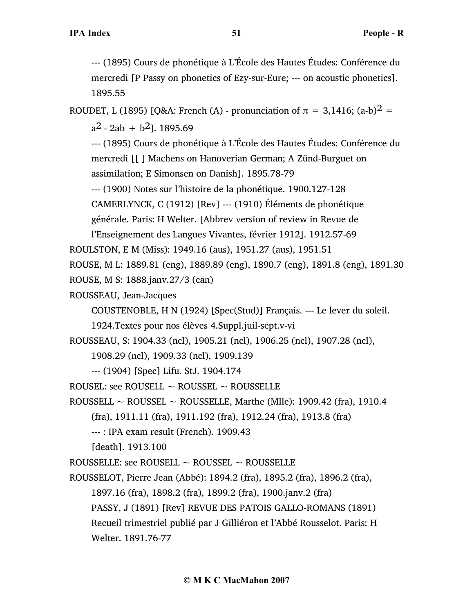--- (1895) Cours de phonétique à L'École des Hautes Études: Conférence du mercredi [P Passy on phonetics of Ezy-sur-Eure; --- on acoustic phonetics]. 1895.55

ROUDET, L (1895) [Q&A: French (A) - pronunciation of  $\pi = 3,1416$ ; (a-b)<sup>2</sup> =

 $a^2 - 2ab + b^2$ . 1895.69

--- (1895) Cours de phonétique à L'École des Hautes Études: Conférence du mercredi [[ ] Machens on Hanoverian German; A Zünd-Burguet on assimilation; E Simonsen on Danish]. 1895.78-79

--- (1900) Notes sur l'histoire de la phonétique. 1900.127-128

CAMERLYNCK, C (1912) [Rev] --- (1910) Éléments de phonétique

générale. Paris: H Welter. [Abbrev version of review in Revue de

l'Enseignement des Langues Vivantes, février 1912]. 1912.57-69

ROULSTON, E M (Miss): 1949.16 (aus), 1951.27 (aus), 1951.51

ROUSE, M L: 1889.81 (eng), 1889.89 (eng), 1890.7 (eng), 1891.8 (eng), 1891.30

ROUSE, M S: 1888.janv.27/3 (can)

ROUSSEAU, Jean-Jacques

COUSTENOBLE, H N (1924) [Spec(Stud)] Français. --- Le lever du soleil.

1924.Textes pour nos élèves 4.Suppl.juil-sept.v-vi

ROUSSEAU, S: 1904.33 (ncl), 1905.21 (ncl), 1906.25 (ncl), 1907.28 (ncl),

1908.29 (ncl), 1909.33 (ncl), 1909.139

--- (1904) [Spec] Lifu. StJ. 1904.174

ROUSEL: see ROUSELL  $\sim$  ROUSSEL  $\sim$  ROUSSELLE

ROUSSELL  $\sim$  ROUSSEL  $\sim$  ROUSSELLE, Marthe (Mlle): 1909.42 (fra), 1910.4

(fra), 1911.11 (fra), 1911.192 (fra), 1912.24 (fra), 1913.8 (fra)

--- : IPA exam result (French). 1909.43

[death]. 1913.100

ROUSSELLE: see ROUSELL  $\sim$  ROUSSEL  $\sim$  ROUSSELLE

ROUSSELOT, Pierre Jean (Abbé): 1894.2 (fra), 1895.2 (fra), 1896.2 (fra), 1897.16 (fra), 1898.2 (fra), 1899.2 (fra), 1900.janv.2 (fra) PASSY, J (1891) [Rev] REVUE DES PATOIS GALLO-ROMANS (1891) Recueil trimestriel publié par J Gilliéron et l'Abbé Rousselot. Paris: H

Welter. 1891.76-77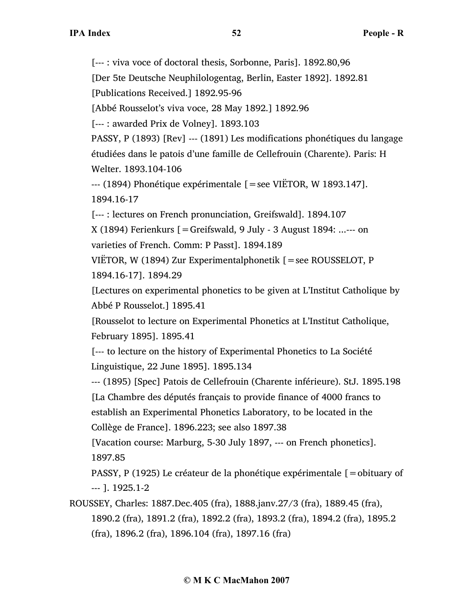[--- : viva voce of doctoral thesis, Sorbonne, Paris]. 1892.80,96

[Der 5te Deutsche Neuphilologentag, Berlin, Easter 1892]. 1892.81

[Publications Received.] 1892.95-96

[Abbé Rousselot's viva voce, 28 May 1892.] 1892.96

[--- : awarded Prix de Volney]. 1893.103

PASSY, P (1893) [Rev] --- (1891) Les modifications phonétiques du langage étudiées dans le patois d'une famille de Cellefrouin (Charente). Paris: H

Welter. 1893.104-106

 $-$ -- (1894) Phonétique expérimentale  $=$ see VIËTOR, W 1893.147]. 1894.16-17

[--- : lectures on French pronunciation, Greifswald]. 1894.107

 $X(1894)$  Ferienkurs  $[ = \text{Greifswald}, 9 \text{ July - 3 August } 1894$ : ...--- on

varieties of French. Comm: P Passt]. 1894.189

VIËTOR, W (1894) Zur Experimentalphonetik  $[=$ see ROUSSELOT, P 1894.16-17]. 1894.29

[Lectures on experimental phonetics to be given at L'Institut Catholique by Abbé P Rousselot.] 1895.41

[Rousselot to lecture on Experimental Phonetics at L'Institut Catholique, February 1895]. 1895.41

[--- to lecture on the history of Experimental Phonetics to La Société Linguistique, 22 June 1895]. 1895.134

--- (1895) [Spec] Patois de Cellefrouin (Charente inférieure). StJ. 1895.198 [La Chambre des députés français to provide finance of 4000 francs to establish an Experimental Phonetics Laboratory, to be located in the

Collège de France]. 1896.223; see also 1897.38

[Vacation course: Marburg, 5-30 July 1897, --- on French phonetics]. 1897.85

PASSY, P (1925) Le créateur de la phonétique expérimentale [=obituary of --- ]. 1925.1-2

ROUSSEY, Charles: 1887.Dec.405 (fra), 1888.janv.27/3 (fra), 1889.45 (fra), 1890.2 (fra), 1891.2 (fra), 1892.2 (fra), 1893.2 (fra), 1894.2 (fra), 1895.2 (fra), 1896.2 (fra), 1896.104 (fra), 1897.16 (fra)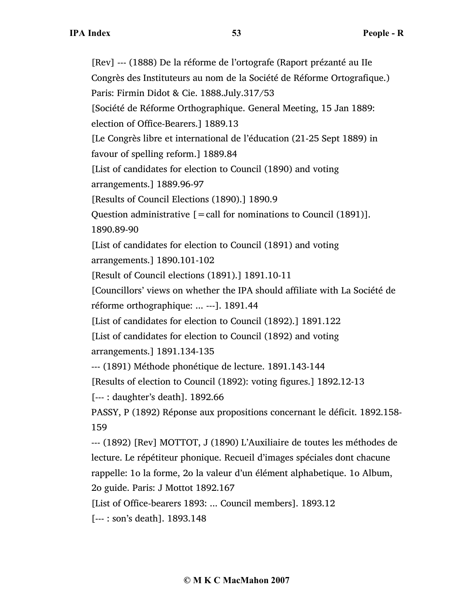[Rev] --- (1888) De la réforme de l'ortografe (Raport prézanté au IIe Congrès des Instituteurs au nom de la Société de Réforme Ortografique.) Paris: Firmin Didot & Cie. 1888.July.317/53 [Société de Réforme Orthographique. General Meeting, 15 Jan 1889: election of Office-Bearers.] 1889.13 [Le Congrès libre et international de l'éducation (21-25 Sept 1889) in favour of spelling reform.] 1889.84 [List of candidates for election to Council (1890) and voting arrangements.] 1889.96-97 [Results of Council Elections (1890).] 1890.9 Question administrative  $\mathbf{r} = \text{call for noninations to Council (1891)}$ . 1890.89-90 [List of candidates for election to Council (1891) and voting arrangements.] 1890.101-102 [Result of Council elections (1891).] 1891.10-11 [Councillors' views on whether the IPA should affiliate with La Société de réforme orthographique: ... ---]. 1891.44 [List of candidates for election to Council (1892).] 1891.122 [List of candidates for election to Council (1892) and voting arrangements.] 1891.134-135 --- (1891) Méthode phonétique de lecture. 1891.143-144 [Results of election to Council (1892): voting figures.] 1892.12-13 [--- : daughter's death]. 1892.66 PASSY, P (1892) Réponse aux propositions concernant le déficit. 1892.158- 159 --- (1892) [Rev] MOTTOT, J (1890) L'Auxiliaire de toutes les méthodes de lecture. Le répétiteur phonique. Recueil d'images spéciales dont chacune rappelle: 1o la forme, 2o la valeur d'un élément alphabetique. 1o Album, 2o guide. Paris: J Mottot 1892.167 [List of Office-bearers 1893: ... Council members]. 1893.12 [--- : son's death]. 1893.148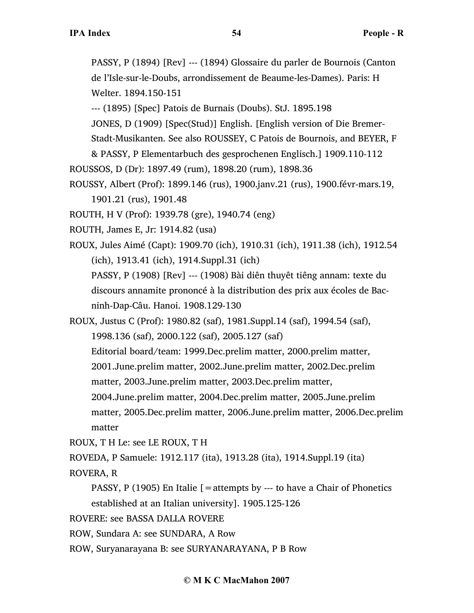PASSY, P (1894) [Rev] --- (1894) Glossaire du parler de Bournois (Canton de l'Isle-sur-le-Doubs, arrondissement de Beaume-les-Dames). Paris: H Welter. 1894.150-151

--- (1895) [Spec] Patois de Burnais (Doubs). StJ. 1895.198

JONES, D (1909) [Spec(Stud)] English. [English version of Die Bremer-

Stadt-Musikanten. See also ROUSSEY, C Patois de Bournois, and BEYER, F

& PASSY, P Elementarbuch des gesprochenen Englisch.] 1909.110-112

ROUSSOS, D (Dr): 1897.49 (rum), 1898.20 (rum), 1898.36

ROUSSY, Albert (Prof): 1899.146 (rus), 1900.janv.21 (rus), 1900.févr-mars.19, 1901.21 (rus), 1901.48

ROUTH, H V (Prof): 1939.78 (gre), 1940.74 (eng)

ROUTH, James E, Jr: 1914.82 (usa)

ROUX, Jules Aimé (Capt): 1909.70 (ich), 1910.31 (ich), 1911.38 (ich), 1912.54 (ich), 1913.41 (ich), 1914.Suppl.31 (ich)

PASSY, P (1908) [Rev] --- (1908) Bài diên thuyêt tiêng annam: texte du discours annamite prononcé à la distribution des prix aux écoles de Bacninh-Dap-Câu. Hanoi. 1908.129-130

ROUX, Justus C (Prof): 1980.82 (saf), 1981.Suppl.14 (saf), 1994.54 (saf), 1998.136 (saf), 2000.122 (saf), 2005.127 (saf) Editorial board/team: 1999.Dec.prelim matter, 2000.prelim matter, 2001.June.prelim matter, 2002.June.prelim matter, 2002.Dec.prelim matter, 2003.June.prelim matter, 2003.Dec.prelim matter, 2004.June.prelim matter, 2004.Dec.prelim matter, 2005.June.prelim matter, 2005.Dec.prelim matter, 2006.June.prelim matter, 2006.Dec.prelim matter

ROUX, T H Le: see LE ROUX, T H

ROVEDA, P Samuele: 1912.117 (ita), 1913.28 (ita), 1914.Suppl.19 (ita)

ROVERA, R

PASSY, P (1905) En Italie  $[$  = attempts by --- to have a Chair of Phonetics established at an Italian university]. 1905.125-126

ROVERE: see BASSA DALLA ROVERE

ROW, Sundara A: see SUNDARA, A Row

ROW, Suryanarayana B: see SURYANARAYANA, P B Row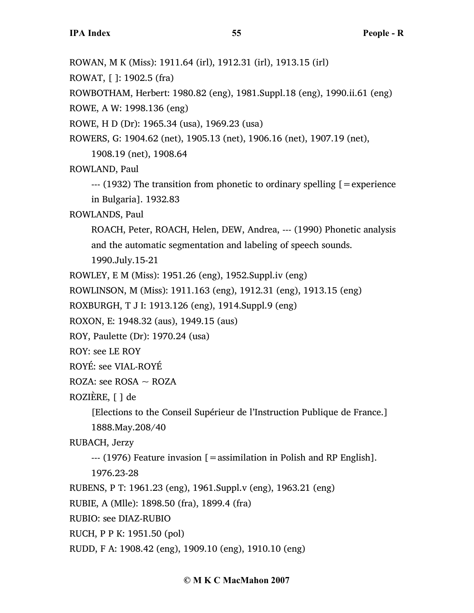ROWAN, M K (Miss): 1911.64 (irl), 1912.31 (irl), 1913.15 (irl)

ROWAT, [ ]: 1902.5 (fra)

ROWBOTHAM, Herbert: 1980.82 (eng), 1981.Suppl.18 (eng), 1990.ii.61 (eng)

ROWE, A W: 1998.136 (eng)

ROWE, H D (Dr): 1965.34 (usa), 1969.23 (usa)

ROWERS, G: 1904.62 (net), 1905.13 (net), 1906.16 (net), 1907.19 (net),

1908.19 (net), 1908.64

ROWLAND, Paul

 $-$ -- (1932) The transition from phonetic to ordinary spelling  $=$  experience in Bulgaria]. 1932.83

ROWLANDS, Paul

ROACH, Peter, ROACH, Helen, DEW, Andrea, --- (1990) Phonetic analysis and the automatic segmentation and labeling of speech sounds.

1990.July.15-21

ROWLEY, E M (Miss): 1951.26 (eng), 1952.Suppl.iv (eng)

ROWLINSON, M (Miss): 1911.163 (eng), 1912.31 (eng), 1913.15 (eng)

ROXBURGH, T J I: 1913.126 (eng), 1914.Suppl.9 (eng)

ROXON, E: 1948.32 (aus), 1949.15 (aus)

ROY, Paulette (Dr): 1970.24 (usa)

ROY: see LE ROY

ROYÉ: see VIAL-ROYÉ

ROZA: see ROSA  $\sim$  ROZA

ROZIÈRE, [ ] de

[Elections to the Conseil Supérieur de l'Instruction Publique de France.] 1888.May.208/40

RUBACH, Jerzy

 $-$ -- (1976) Feature invasion  $\mathbf{r} =$  assimilation in Polish and RP English].

1976.23-28

RUBENS, P T: 1961.23 (eng), 1961.Suppl.v (eng), 1963.21 (eng)

RUBIE, A (Mlle): 1898.50 (fra), 1899.4 (fra)

RUBIO: see DIAZ-RUBIO

RUCH, P P K: 1951.50 (pol)

RUDD, F A: 1908.42 (eng), 1909.10 (eng), 1910.10 (eng)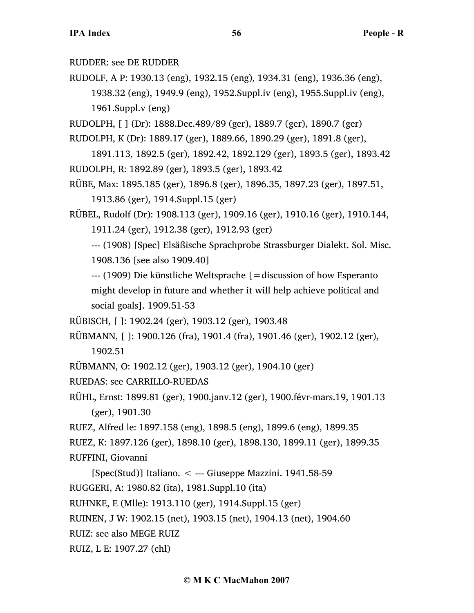RUDDER: see DE RUDDER

RUDOLF, A P: 1930.13 (eng), 1932.15 (eng), 1934.31 (eng), 1936.36 (eng), 1938.32 (eng), 1949.9 (eng), 1952.Suppl.iv (eng), 1955.Suppl.iv (eng), 1961.Suppl.v (eng)

RUDOLPH, [ ] (Dr): 1888.Dec.489/89 (ger), 1889.7 (ger), 1890.7 (ger)

RUDOLPH, K (Dr): 1889.17 (ger), 1889.66, 1890.29 (ger), 1891.8 (ger),

1891.113, 1892.5 (ger), 1892.42, 1892.129 (ger), 1893.5 (ger), 1893.42 RUDOLPH, R: 1892.89 (ger), 1893.5 (ger), 1893.42

RÜBE, Max: 1895.185 (ger), 1896.8 (ger), 1896.35, 1897.23 (ger), 1897.51, 1913.86 (ger), 1914.Suppl.15 (ger)

RÜBEL, Rudolf (Dr): 1908.113 (ger), 1909.16 (ger), 1910.16 (ger), 1910.144, 1911.24 (ger), 1912.38 (ger), 1912.93 (ger)

--- (1908) [Spec] Elsäßische Sprachprobe Strassburger Dialekt. Sol. Misc. 1908.136 [see also 1909.40]

--- (1909) Die künstliche Weltsprache [=discussion of how Esperanto might develop in future and whether it will help achieve political and social goals]. 1909.51-53

RÜBISCH, [ ]: 1902.24 (ger), 1903.12 (ger), 1903.48

RÜBMANN, [ ]: 1900.126 (fra), 1901.4 (fra), 1901.46 (ger), 1902.12 (ger), 1902.51

RÜBMANN, O: 1902.12 (ger), 1903.12 (ger), 1904.10 (ger)

RUEDAS: see CARRILLO-RUEDAS

RÜHL, Ernst: 1899.81 (ger), 1900.janv.12 (ger), 1900.févr-mars.19, 1901.13 (ger), 1901.30

RUEZ, Alfred le: 1897.158 (eng), 1898.5 (eng), 1899.6 (eng), 1899.35

RUEZ, K: 1897.126 (ger), 1898.10 (ger), 1898.130, 1899.11 (ger), 1899.35 RUFFINI, Giovanni

[Spec(Stud)] Italiano. < --- Giuseppe Mazzini. 1941.58-59 RUGGERI, A: 1980.82 (ita), 1981.Suppl.10 (ita)

RUHNKE, E (Mlle): 1913.110 (ger), 1914.Suppl.15 (ger)

RUINEN, J W: 1902.15 (net), 1903.15 (net), 1904.13 (net), 1904.60

RUIZ: see also MEGE RUIZ

RUIZ, L E: 1907.27 (chl)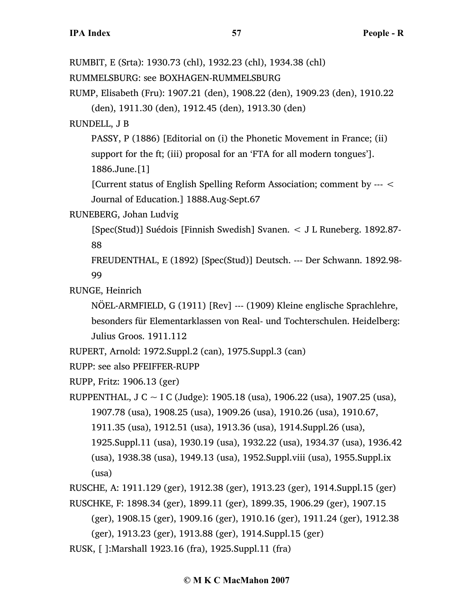RUMBIT, E (Srta): 1930.73 (chl), 1932.23 (chl), 1934.38 (chl) RUMMELSBURG: see BOXHAGEN-RUMMELSBURG RUMP, Elisabeth (Fru): 1907.21 (den), 1908.22 (den), 1909.23 (den), 1910.22 (den), 1911.30 (den), 1912.45 (den), 1913.30 (den) RUNDELL, J B PASSY, P (1886) [Editorial on (i) the Phonetic Movement in France; (ii) support for the ft; (iii) proposal for an 'FTA for all modern tongues']. 1886.June.[1] [Current status of English Spelling Reform Association; comment by --- < Journal of Education.] 1888.Aug-Sept.67 RUNEBERG, Johan Ludvig [Spec(Stud)] Suédois [Finnish Swedish] Svanen. < J L Runeberg. 1892.87- 88 FREUDENTHAL, E (1892) [Spec(Stud)] Deutsch. --- Der Schwann. 1892.98- 99 RUNGE, Heinrich NÖEL-ARMFIELD, G (1911) [Rev] --- (1909) Kleine englische Sprachlehre, besonders für Elementarklassen von Real- und Tochterschulen. Heidelberg: Julius Groos. 1911.112 RUPERT, Arnold: 1972.Suppl.2 (can), 1975.Suppl.3 (can) RUPP: see also PFEIFFER-RUPP RUPP, Fritz: 1906.13 (ger) RUPPENTHAL, J C  $\sim$  I C (Judge): 1905.18 (usa), 1906.22 (usa), 1907.25 (usa), 1907.78 (usa), 1908.25 (usa), 1909.26 (usa), 1910.26 (usa), 1910.67, 1911.35 (usa), 1912.51 (usa), 1913.36 (usa), 1914.Suppl.26 (usa), 1925.Suppl.11 (usa), 1930.19 (usa), 1932.22 (usa), 1934.37 (usa), 1936.42 (usa), 1938.38 (usa), 1949.13 (usa), 1952.Suppl.viii (usa), 1955.Suppl.ix (usa) RUSCHE, A: 1911.129 (ger), 1912.38 (ger), 1913.23 (ger), 1914.Suppl.15 (ger) RUSCHKE, F: 1898.34 (ger), 1899.11 (ger), 1899.35, 1906.29 (ger), 1907.15 (ger), 1908.15 (ger), 1909.16 (ger), 1910.16 (ger), 1911.24 (ger), 1912.38 (ger), 1913.23 (ger), 1913.88 (ger), 1914.Suppl.15 (ger)

RUSK, [ ]:Marshall 1923.16 (fra), 1925.Suppl.11 (fra)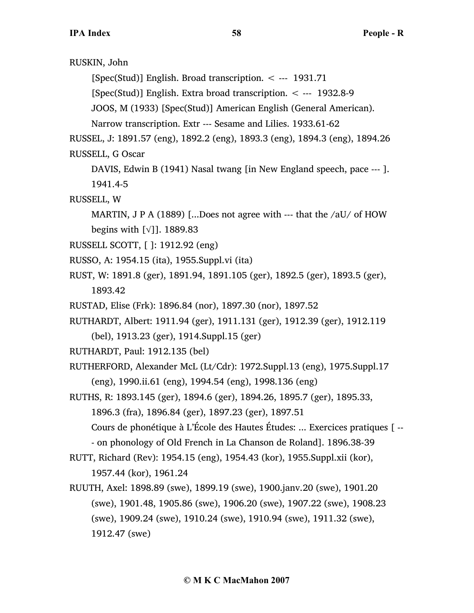RUSKIN, John

[Spec(Stud)] English. Broad transcription.  $\lt$  --- 1931.71

[Spec(Stud)] English. Extra broad transcription. < --- 1932.8-9

JOOS, M (1933) [Spec(Stud)] American English (General American).

Narrow transcription. Extr --- Sesame and Lilies. 1933.61-62

RUSSEL, J: 1891.57 (eng), 1892.2 (eng), 1893.3 (eng), 1894.3 (eng), 1894.26 RUSSELL, G Oscar

DAVIS, Edwin B (1941) Nasal twang [in New England speech, pace --- ]. 1941.4-5

RUSSELL, W

MARTIN, J P A (1889) [...Does not agree with  $-$ - that the /aU/ of HOW begins with [√]]. 1889.83

- RUSSELL SCOTT, [ ]: 1912.92 (eng)
- RUSSO, A: 1954.15 (ita), 1955.Suppl.vi (ita)
- RUST, W: 1891.8 (ger), 1891.94, 1891.105 (ger), 1892.5 (ger), 1893.5 (ger), 1893.42
- RUSTAD, Elise (Frk): 1896.84 (nor), 1897.30 (nor), 1897.52

RUTHARDT, Albert: 1911.94 (ger), 1911.131 (ger), 1912.39 (ger), 1912.119

(bel), 1913.23 (ger), 1914.Suppl.15 (ger)

RUTHARDT, Paul: 1912.135 (bel)

RUTHERFORD, Alexander McL (Lt/Cdr): 1972.Suppl.13 (eng), 1975.Suppl.17 (eng), 1990.ii.61 (eng), 1994.54 (eng), 1998.136 (eng)

RUTHS, R: 1893.145 (ger), 1894.6 (ger), 1894.26, 1895.7 (ger), 1895.33, 1896.3 (fra), 1896.84 (ger), 1897.23 (ger), 1897.51 Cours de phonétique à L'École des Hautes Études: ... Exercices pratiques [ --

- on phonology of Old French in La Chanson de Roland]. 1896.38-39
- RUTT, Richard (Rev): 1954.15 (eng), 1954.43 (kor), 1955.Suppl.xii (kor), 1957.44 (kor), 1961.24
- RUUTH, Axel: 1898.89 (swe), 1899.19 (swe), 1900.janv.20 (swe), 1901.20 (swe), 1901.48, 1905.86 (swe), 1906.20 (swe), 1907.22 (swe), 1908.23 (swe), 1909.24 (swe), 1910.24 (swe), 1910.94 (swe), 1911.32 (swe), 1912.47 (swe)